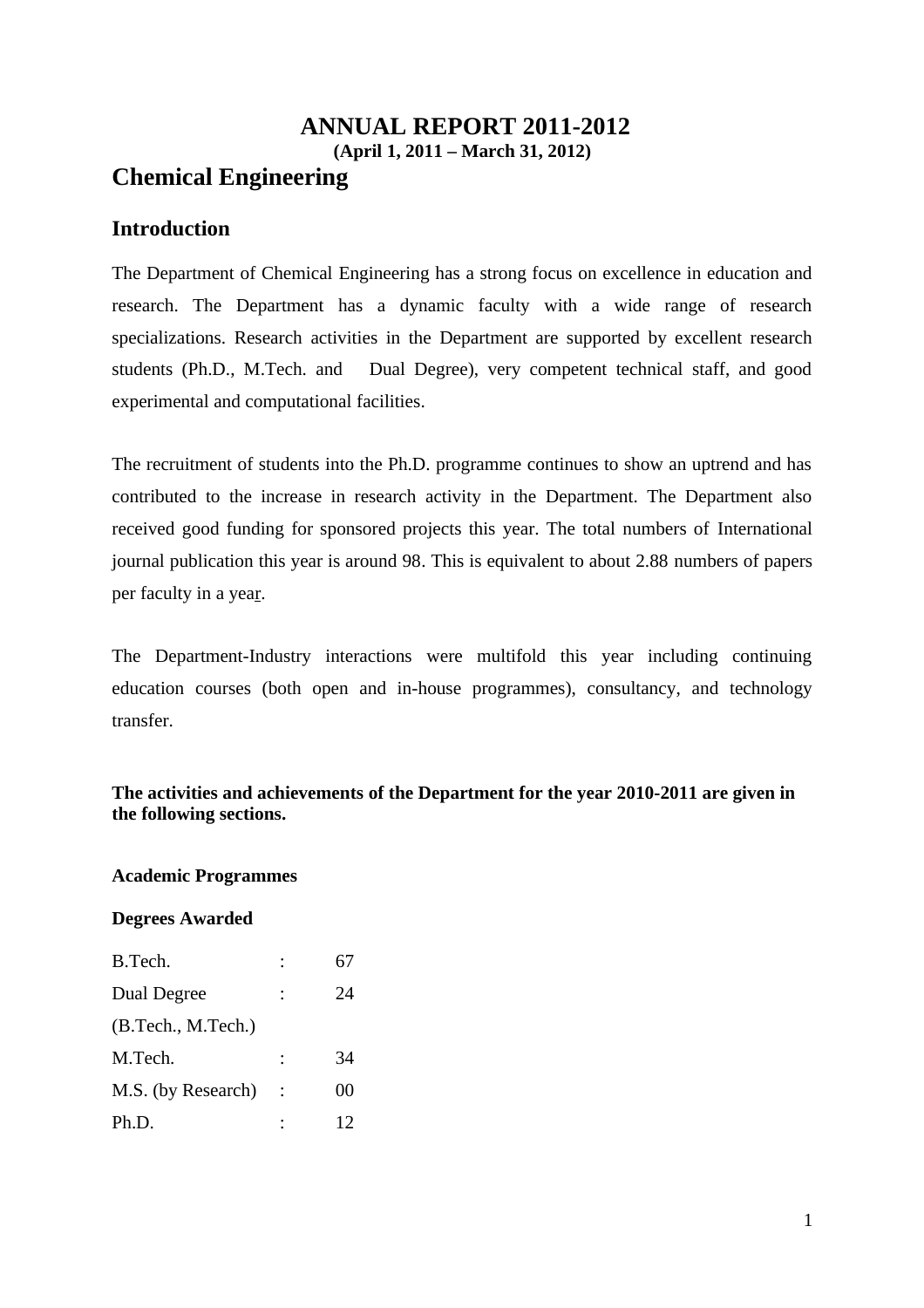## **ANNUAL REPORT 2011-2012 (April 1, 2011 – March 31, 2012) Chemical Engineering**

## **Introduction**

The Department of Chemical Engineering has a strong focus on excellence in education and research. The Department has a dynamic faculty with a wide range of research specializations. Research activities in the Department are supported by excellent research students (Ph.D., M.Tech. and Dual Degree), very competent technical staff, and good experimental and computational facilities.

The recruitment of students into the Ph.D. programme continues to show an uptrend and has contributed to the increase in research activity in the Department. The Department also received good funding for sponsored projects this year. The total numbers of International journal publication this year is around 98. This is equivalent to about 2.88 numbers of papers per faculty in a year.

The Department-Industry interactions were multifold this year including continuing education courses (both open and in-house programmes), consultancy, and technology transfer.

#### **The activities and achievements of the Department for the year 2010-2011 are given in the following sections.**

#### **Academic Programmes**

#### **Degrees Awarded**

| B.Tech.            | 67 |  |
|--------------------|----|--|
| Dual Degree        | 24 |  |
| (B.Tech., M.Tech.) |    |  |
| M.Tech.            | 34 |  |
| M.S. (by Research) | 00 |  |
| Ph.D.              | 12 |  |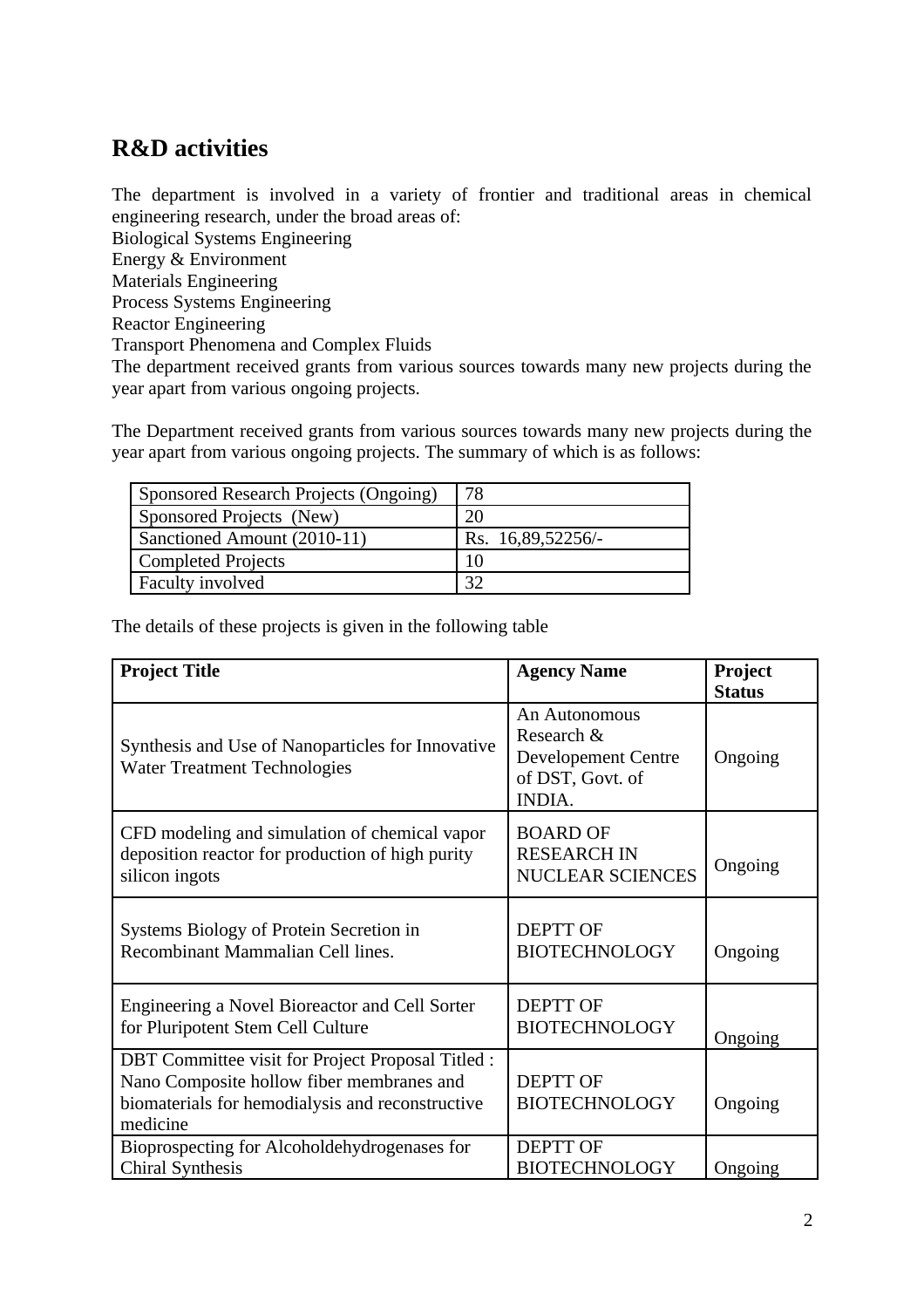## **R&D activities**

The department is involved in a variety of frontier and traditional areas in chemical engineering research, under the broad areas of:

Biological Systems Engineering

Energy & Environment

Materials Engineering

Process Systems Engineering

Reactor Engineering

Transport Phenomena and Complex Fluids

The department received grants from various sources towards many new projects during the year apart from various ongoing projects.

The Department received grants from various sources towards many new projects during the year apart from various ongoing projects. The summary of which is as follows:

| Sponsored Research Projects (Ongoing) | 78                |
|---------------------------------------|-------------------|
| Sponsored Projects (New)              | 20                |
| Sanctioned Amount (2010-11)           | Rs. 16,89,52256/- |
| <b>Completed Projects</b>             | 10                |
| Faculty involved                      | רכ                |

The details of these projects is given in the following table

| <b>Project Title</b>                                                                                                                                           | <b>Agency Name</b>                                                                      | Project       |
|----------------------------------------------------------------------------------------------------------------------------------------------------------------|-----------------------------------------------------------------------------------------|---------------|
|                                                                                                                                                                |                                                                                         | <b>Status</b> |
| Synthesis and Use of Nanoparticles for Innovative<br><b>Water Treatment Technologies</b>                                                                       | An Autonomous<br>Research &<br><b>Developement Centre</b><br>of DST, Govt. of<br>INDIA. | Ongoing       |
| CFD modeling and simulation of chemical vapor<br>deposition reactor for production of high purity<br>silicon ingots                                            | <b>BOARD OF</b><br><b>RESEARCH IN</b><br><b>NUCLEAR SCIENCES</b>                        | Ongoing       |
| Systems Biology of Protein Secretion in<br>Recombinant Mammalian Cell lines.                                                                                   | <b>DEPTT OF</b><br><b>BIOTECHNOLOGY</b>                                                 | Ongoing       |
| Engineering a Novel Bioreactor and Cell Sorter<br>for Pluripotent Stem Cell Culture                                                                            | <b>DEPTT OF</b><br><b>BIOTECHNOLOGY</b>                                                 | Ongoing       |
| DBT Committee visit for Project Proposal Titled :<br>Nano Composite hollow fiber membranes and<br>biomaterials for hemodialysis and reconstructive<br>medicine | <b>DEPTT OF</b><br><b>BIOTECHNOLOGY</b>                                                 | Ongoing       |
| Bioprospecting for Alcoholdehydrogenases for<br><b>Chiral Synthesis</b>                                                                                        | <b>DEPTT OF</b><br><b>BIOTECHNOLOGY</b>                                                 | Ongoing       |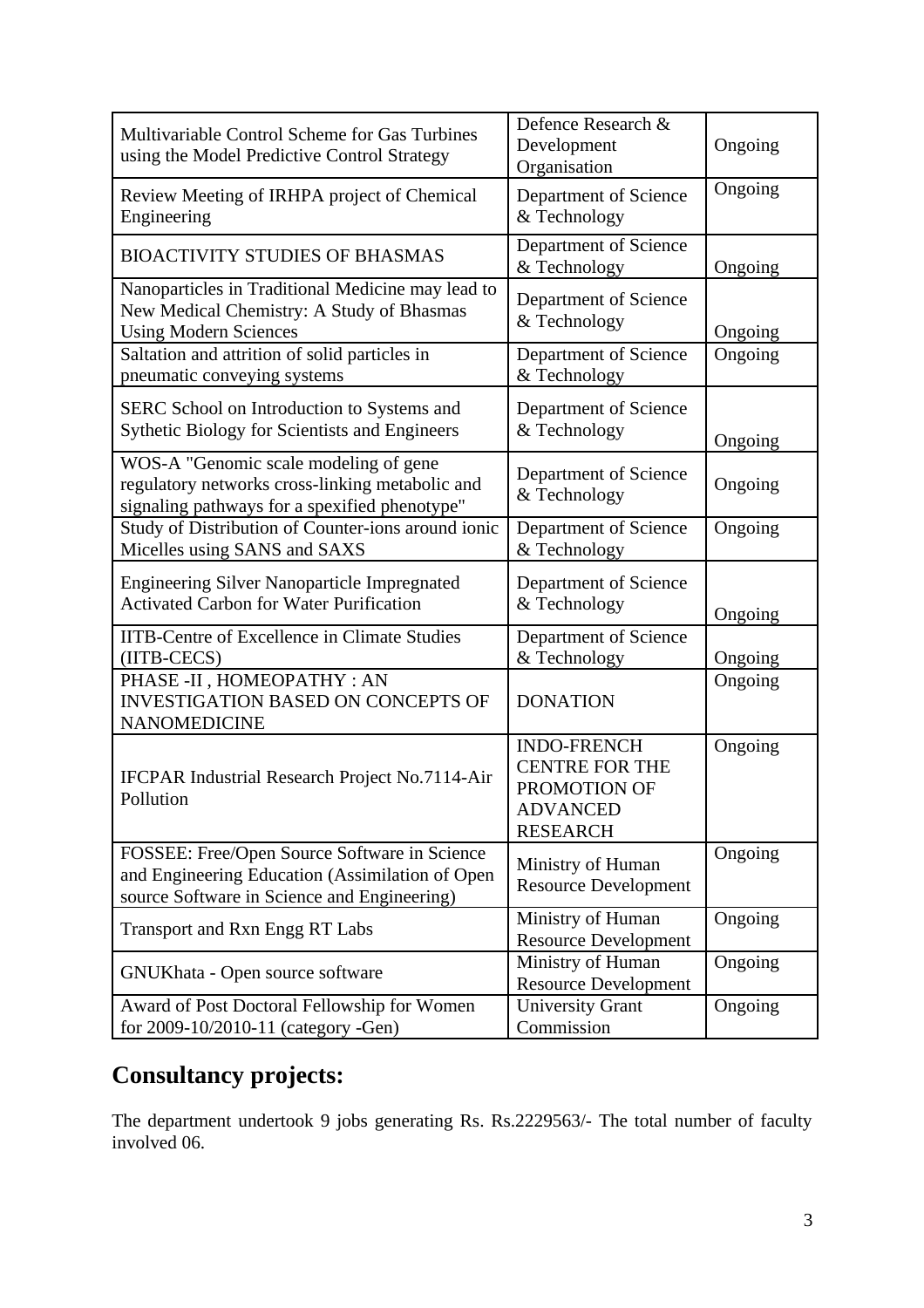| Multivariable Control Scheme for Gas Turbines<br>using the Model Predictive Control Strategy                                                   | Defence Research &<br>Development<br>Organisation                                                 | Ongoing |
|------------------------------------------------------------------------------------------------------------------------------------------------|---------------------------------------------------------------------------------------------------|---------|
| Review Meeting of IRHPA project of Chemical<br>Engineering                                                                                     | Department of Science<br>& Technology                                                             | Ongoing |
| <b>BIOACTIVITY STUDIES OF BHASMAS</b>                                                                                                          | <b>Department of Science</b><br>& Technology                                                      | Ongoing |
| Nanoparticles in Traditional Medicine may lead to<br>New Medical Chemistry: A Study of Bhasmas<br><b>Using Modern Sciences</b>                 | <b>Department of Science</b><br>& Technology                                                      | Ongoing |
| Saltation and attrition of solid particles in<br>pneumatic conveying systems                                                                   | <b>Department of Science</b><br>& Technology                                                      | Ongoing |
| SERC School on Introduction to Systems and<br><b>Sythetic Biology for Scientists and Engineers</b>                                             | Department of Science<br>& Technology                                                             | Ongoing |
| WOS-A "Genomic scale modeling of gene<br>regulatory networks cross-linking metabolic and<br>signaling pathways for a spexified phenotype"      | Department of Science<br>& Technology                                                             | Ongoing |
| Study of Distribution of Counter-ions around ionic<br>Micelles using SANS and SAXS                                                             | <b>Department of Science</b><br>& Technology                                                      | Ongoing |
| <b>Engineering Silver Nanoparticle Impregnated</b><br><b>Activated Carbon for Water Purification</b>                                           | Department of Science<br>& Technology                                                             | Ongoing |
| <b>IITB-Centre of Excellence in Climate Studies</b><br>(IITB-CECS)                                                                             | Department of Science<br>& Technology                                                             | Ongoing |
| PHASE -II, HOMEOPATHY: AN<br><b>INVESTIGATION BASED ON CONCEPTS OF</b><br><b>NANOMEDICINE</b>                                                  | <b>DONATION</b>                                                                                   | Ongoing |
| IFCPAR Industrial Research Project No.7114-Air<br>Pollution                                                                                    | <b>INDO-FRENCH</b><br><b>CENTRE FOR THE</b><br>PROMOTION OF<br><b>ADVANCED</b><br><b>RESEARCH</b> | Ongoing |
| FOSSEE: Free/Open Source Software in Science<br>and Engineering Education (Assimilation of Open<br>source Software in Science and Engineering) | Ministry of Human<br><b>Resource Development</b>                                                  | Ongoing |
| Transport and Rxn Engg RT Labs                                                                                                                 | Ministry of Human<br><b>Resource Development</b>                                                  | Ongoing |
| GNUKhata - Open source software                                                                                                                | Ministry of Human<br><b>Resource Development</b>                                                  | Ongoing |
| Award of Post Doctoral Fellowship for Women<br>for 2009-10/2010-11 (category -Gen)                                                             | <b>University Grant</b><br>Commission                                                             | Ongoing |

# **Consultancy projects:**

The department undertook 9 jobs generating Rs. Rs.2229563/- The total number of faculty involved 06.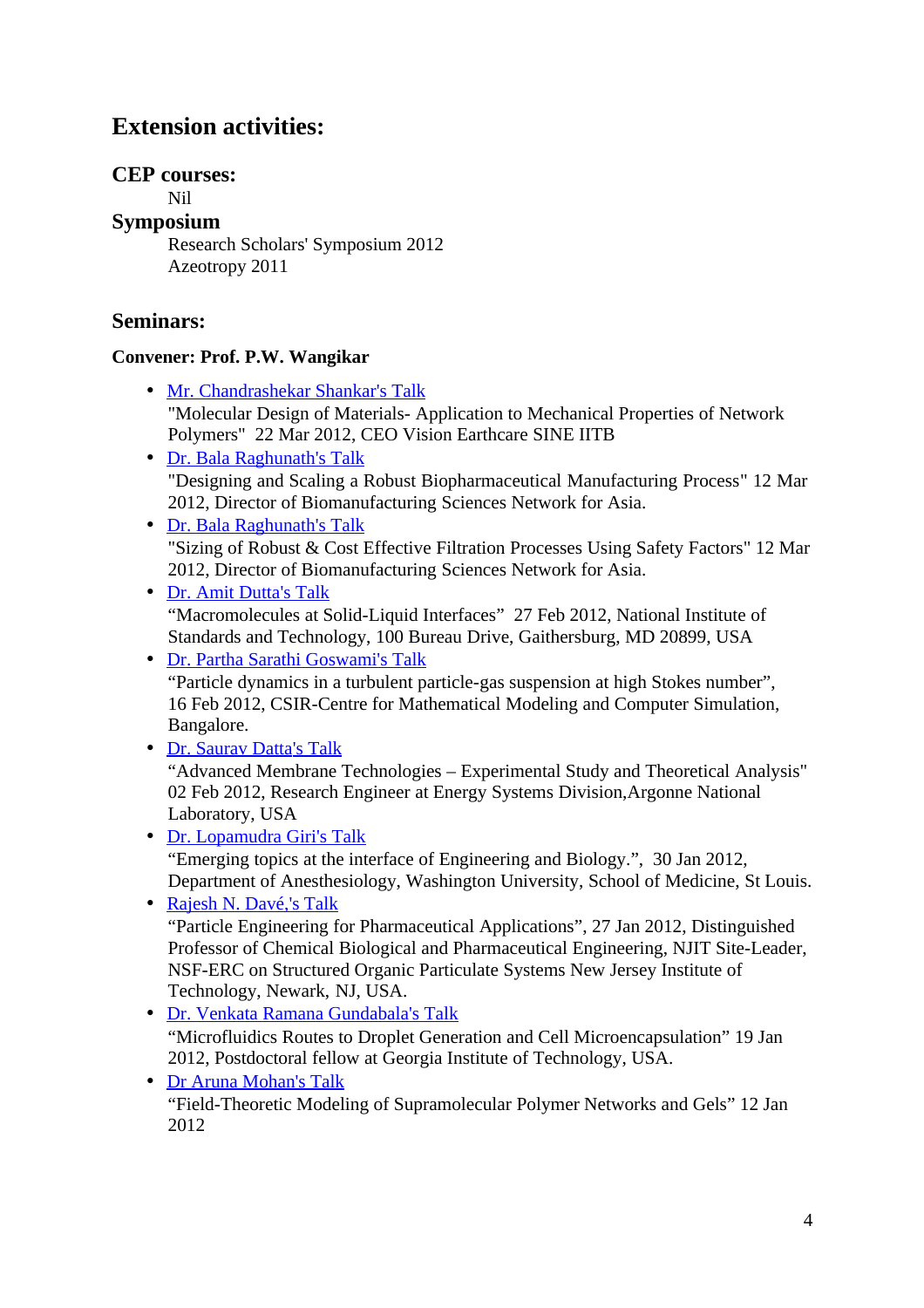## **Extension activities:**

## **CEP courses:**

Nil

**Symposium**

Research Scholars' Symposium 2012 Azeotropy 2011

## **Seminars:**

## **Convener: Prof. P.W. Wangikar**

- • [Mr. Chandrashekar Shankar's Talk](http://www.che.iitb.ac.in/online/events/mr-chandrashekar-shankars-talk) "Molecular Design of Materials- Application to Mechanical Properties of Network Polymers" 22 Mar 2012, CEO Vision Earthcare SINE IITB
- Dr. Bala Raghunath's Talk "Designing and Scaling a Robust Biopharmaceutical Manufacturing Process" 12 Mar 2012, Director of Biomanufacturing Sciences Network for Asia.
- Dr. Bala Raghunath's Talk "Sizing of Robust & Cost Effective Filtration Processes Using Safety Factors" 12 Mar 2012, Director of Biomanufacturing Sciences Network for Asia.
- Dr. Amit Dutta's Talk "Macromolecules at Solid-Liquid Interfaces" 27 Feb 2012, National Institute of Standards and Technology, 100 Bureau Drive, Gaithersburg, MD 20899, USA

• Dr. Partha Sarathi Goswami's Talk "Particle dynamics in a turbulent particle-gas suspension at high Stokes number", 16 Feb 2012, CSIR-Centre for Mathematical Modeling and Computer Simulation, Bangalore.

• Dr. Saurav Datta's Talk

"Advanced Membrane Technologies – Experimental Study and Theoretical Analysis" 02 Feb 2012, Research Engineer at Energy Systems Division,Argonne National Laboratory, USA

• Dr. Lopamudra Giri's Talk "Emerging topics at the interface of Engineering and Biology.", 30 Jan 2012, Department of Anesthesiology, Washington University, School of Medicine, St Louis.

• Rajesh N. Davé[, 's Talk](http://www.che.iitb.ac.in/online/events/dr-basavarajs-talk) "Particle Engineering for Pharmaceutical Applications", 27 Jan 2012, Distinguished Professor of Chemical Biological and Pharmaceutical Engineering, NJIT Site-Leader, NSF-ERC on Structured Organic Particulate Systems New Jersey Institute of Technology, Newark, NJ, USA.

- Dr. Venkata Ramana Gundabal[a 's Talk](http://www.che.iitb.ac.in/online/events/prof-mathews-talk) "Microfluidics Routes to Droplet Generation and Cell Microencapsulation" 19 Jan 2012, Postdoctoral fellow at Georgia Institute of Technology, USA.
- Dr Aruna Mohan's Talk "Field-Theoretic Modeling of Supramolecular Polymer Networks and Gels" 12 Jan 2012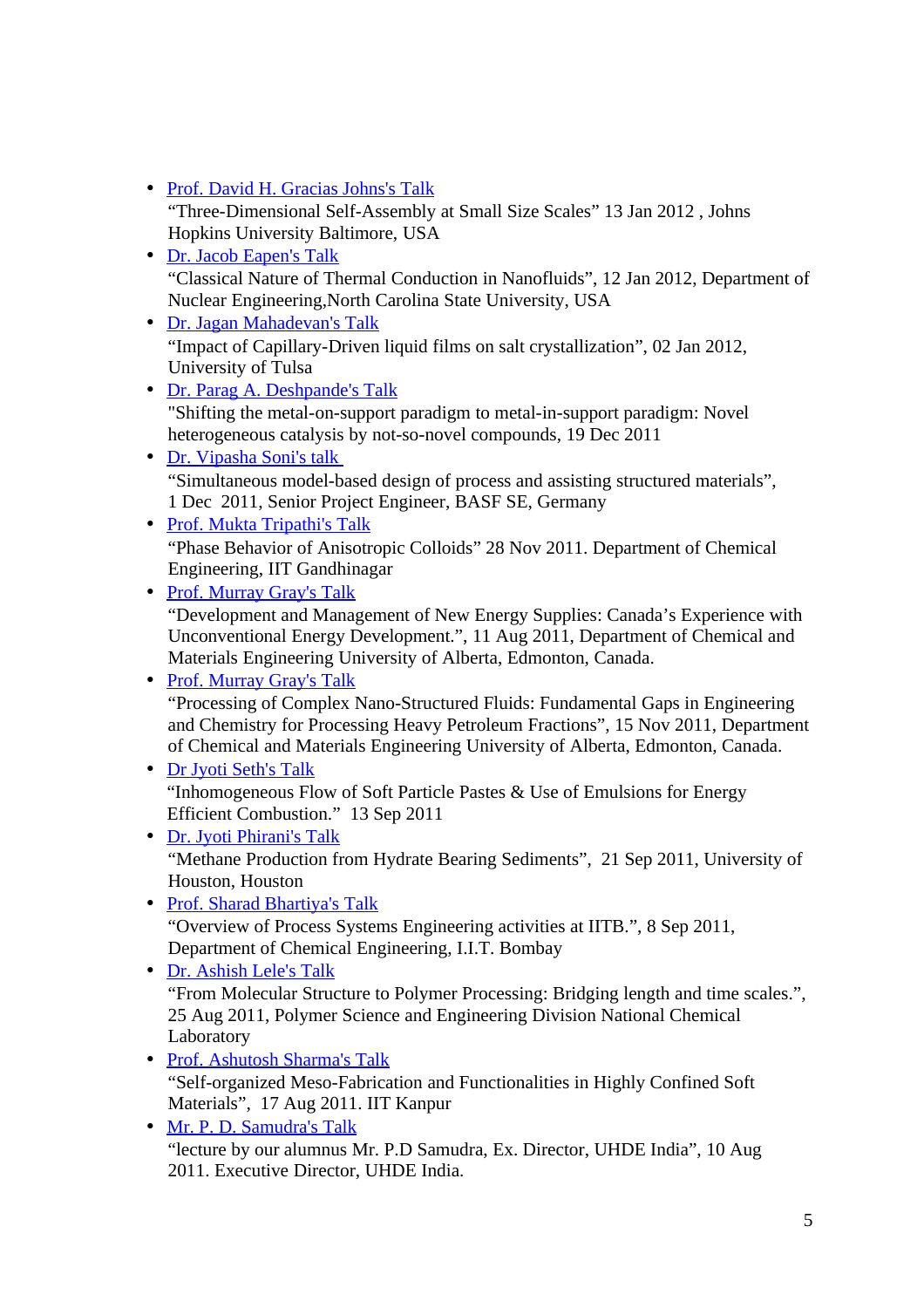- Prof. David H. Gracias Johns's Talk "Three-Dimensional Self-Assembly at Small Size Scales" 13 Jan 2012 , Johns Hopkins University Baltimore, USA
- Dr. Jacob Eapen's Talk "Classical Nature of Thermal Conduction in Nanofluids", 12 Jan 2012, Department of Nuclear Engineering,North Carolina State University, USA
- Dr. Jagan Mahadeva[n 's Talk](http://www.che.iitb.ac.in/online/events/dr-shreekumars-talk) "Impact of Capillary-Driven liquid films on salt crystallization", 02 Jan 2012, University of Tulsa
- Dr. Parag A. Deshpande's Talk "Shifting the metal-on-support paradigm to metal-in-support paradigm: Novel heterogeneous catalysis by not-so-novel compounds, 19 Dec 2011
- • [Dr. Vipasha Soni's talk](http://www.che.iitb.ac.in/online/events/dr-sachins-talk) "Simultaneous model-based design of process and assisting structured materials", 1 Dec 2011, Senior Project Engineer, BASF SE, Germany
- Prof. Mukta Tripathi's Talk "Phase Behavior of Anisotropic Colloids" 28 Nov 2011. Department of Chemical Engineering, IIT Gandhinagar
- Prof. Murray Gray's Talk "Development and Management of New Energy Supplies: Canada's Experience with Unconventional Energy Development.", 11 Aug 2011, Department of Chemical and Materials Engineering University of Alberta, Edmonton, Canada.

• Prof. Murray Gray's Talk "Processing of Complex Nano-Structured Fluids: Fundamental Gaps in Engineering and Chemistry for Processing Heavy Petroleum Fractions", 15 Nov 2011, Department of Chemical and Materials Engineering University of Alberta, Edmonton, Canada.

- • [Dr Jyoti Seth's Talk](http://www.che.iitb.ac.in/online/events/dr-gauravs-talk) "Inhomogeneous Flow of Soft Particle Pastes & Use of Emulsions for Energy Efficient Combustion." 13 Sep 2011
- Dr. Jyoti Phirani's Talk "Methane Production from Hydrate Bearing Sediments", 21 Sep 2011, University of Houston, Houston
- • [Prof. Sharad Bhartiya's Talk](http://www.che.iitb.ac.in/online/events/prof-upendras-talk) "Overview of Process Systems Engineering activities at IITB.", 8 Sep 2011, Department of Chemical Engineering, I.I.T. Bombay
- Dr. Ashish Lele's Talk "From Molecular Structure to Polymer Processing: Bridging length and time scales.", 25 Aug 2011, Polymer Science and Engineering Division National Chemical Laboratory
- Prof. Ashutosh Sharma's Talk "Self-organized Meso-Fabrication and Functionalities in Highly Confined Soft Materials", 17 Aug 2011. IIT Kanpur
- • [Mr. P. D. Samudra's Talk](http://www.che.iitb.ac.in/online/events/mr-nagrajs-talk) "lecture by our alumnus Mr. P.D Samudra, Ex. Director, UHDE India", 10 Aug 2011. Executive Director, UHDE India.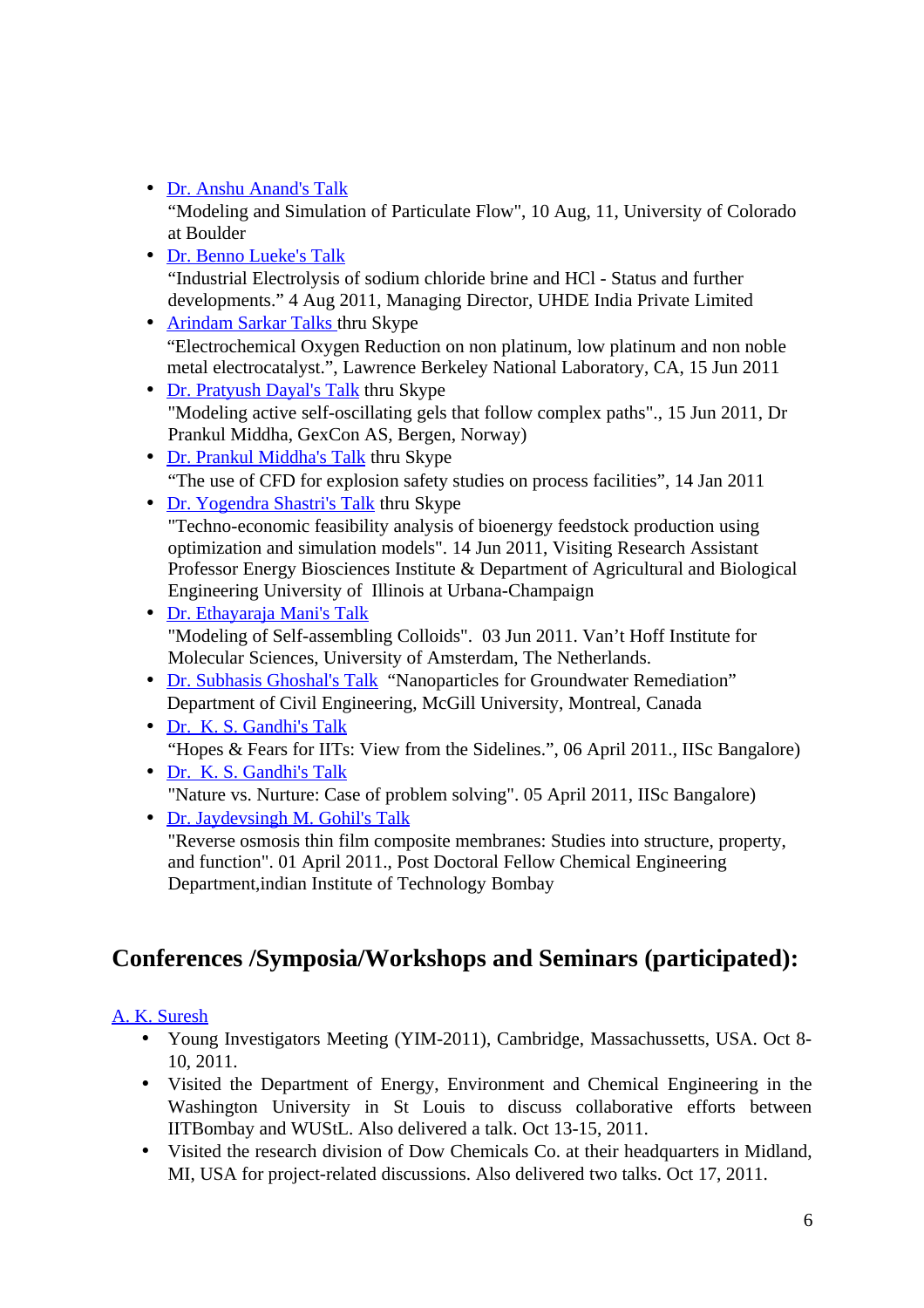• Dr. Anshu Anand's Talk

"Modeling and Simulation of Particulate Flow", 10 Aug, 11, University of Colorado at Boulder

- Dr. Benno Lueke's Talk "Industrial Electrolysis of sodium chloride brine and HCl - Status and further developments." 4 Aug 2011, Managing Director, UHDE India Private Limited
- • [Arindam Sarkar Talks thru Skype](http://www.che.iitb.ac.in/online/events/arindam-sarkar-talks-thru-skype) "Electrochemical Oxygen Reduction on non platinum, low platinum and non noble metal electrocatalyst.", Lawrence Berkeley National Laboratory, CA, 15 Jun 2011
- • [Dr. Pratyush Dayal's Talk](http://www.che.iitb.ac.in/online/events/dr-ketans-talk) thru Skype "Modeling active self-oscillating gels that follow complex paths"., 15 Jun 2011, Dr Prankul Middha, GexCon AS, Bergen, Norway)
- • [Dr. Prankul Middha's Talk](http://www.che.iitb.ac.in/online/events/dr-aninditas-talk) thru Skype "The use of CFD for explosion safety studies on process facilities", 14 Jan 2011
- • [Dr. Yogendra Shastri's Talk](http://www.che.iitb.ac.in/online/events/dr-guruswamys-talk) thru Skype

"Techno-economic feasibility analysis of bioenergy feedstock production using optimization and simulation models". 14 Jun 2011, Visiting Research Assistant Professor Energy Biosciences Institute & Department of Agricultural and Biological Engineering University of Illinois at Urbana-Champaign

- • [Dr. Ethayaraja Mani's Talk](http://www.che.iitb.ac.in/online/events/dr-rahuls-talk) "Modeling of Self-assembling Colloids". 03 Jun 2011. Van't Hoff Institute for Molecular Sciences, University of Amsterdam, The Netherlands.
- • [Dr. Subhasis Ghoshal's Talk](http://www.che.iitb.ac.in/online/events/dr-subhasis-ghoshals-talk) "Nanoparticles for Groundwater Remediation" Department of Civil Engineering, McGill University, Montreal, Canada
- • [Dr. K. S. Gandhi's Talk](http://www.che.iitb.ac.in/online/events/dr-william-d-provines-talk) "Hopes & Fears for IITs: View from the Sidelines.", 06 April 2011., IISc Bangalore)
- • [Dr. K. S. Gandhi's Talk](http://www.che.iitb.ac.in/online/events/dr-william-d-provines-talk) "Nature vs. Nurture: Case of problem solving". 05 April 2011, IISc Bangalore)

• Dr. Jaydevsingh M. Gohil's Talk "Reverse osmosis thin film composite membranes: Studies into structure, property, and function". 01 April 2011., Post Doctoral Fellow Chemical Engineering Department,indian Institute of Technology Bombay

# **Conferences /Symposia/Workshops and Seminars (participated):**

## [A. K. Suresh](http://www.che.iitb.ac.in/online/faculty/a-k-suresh)

- Young Investigators Meeting (YIM-2011), Cambridge, Massachussetts, USA. Oct 8- 10, 2011.
- Visited the Department of Energy, Environment and Chemical Engineering in the Washington University in St Louis to discuss collaborative efforts between IITBombay and WUStL. Also delivered a talk. Oct 13-15, 2011.
- Visited the research division of Dow Chemicals Co. at their headquarters in Midland, MI, USA for project-related discussions. Also delivered two talks. Oct 17, 2011.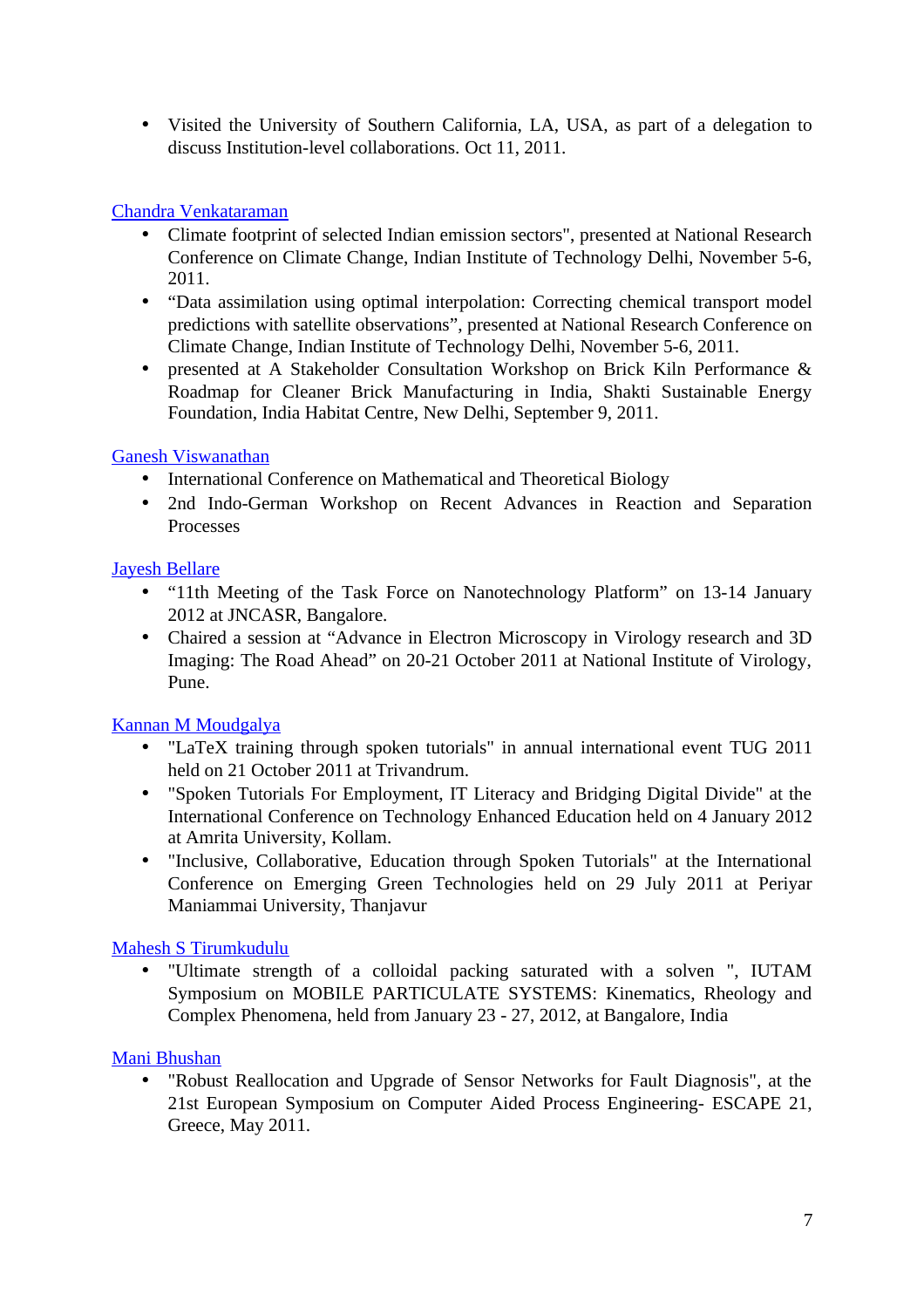• Visited the University of Southern California, LA, USA, as part of a delegation to discuss Institution-level collaborations. Oct 11, 2011.

## [Chandra Venkataraman](http://www.che.iitb.ac.in/online/faculty/chandra-venkataraman)

- Climate footprint of selected Indian emission sectors", presented at National Research Conference on Climate Change, Indian Institute of Technology Delhi, November 5-6, 2011.
- "Data assimilation using optimal interpolation: Correcting chemical transport model predictions with satellite observations", presented at National Research Conference on Climate Change, Indian Institute of Technology Delhi, November 5-6, 2011.
- presented at A Stakeholder Consultation Workshop on Brick Kiln Performance & Roadmap for Cleaner Brick Manufacturing in India, Shakti Sustainable Energy Foundation, India Habitat Centre, New Delhi, September 9, 2011.

#### [Ganesh Viswanathan](http://www.che.iitb.ac.in/online/faculty/ganesh-viswanathan)

- International Conference on Mathematical and Theoretical Biology
- 2nd Indo-German Workshop on Recent Advances in Reaction and Separation Processes

#### [Jayesh Bellare](http://www.che.iitb.ac.in/online/faculty/jayesh-bellare)

- "11th Meeting of the Task Force on Nanotechnology Platform" on 13-14 January 2012 at JNCASR, Bangalore.
- Chaired a session at "Advance in Electron Microscopy in Virology research and 3D Imaging: The Road Ahead" on 20-21 October 2011 at National Institute of Virology, Pune.

## [Kannan M Moudgalya](http://www.che.iitb.ac.in/online/faculty/kannan-m-moudgalya)

- "LaTeX training through spoken tutorials" in annual international event TUG 2011 held on 21 October 2011 at Trivandrum.
- "Spoken Tutorials For Employment, IT Literacy and Bridging Digital Divide" at the International Conference on Technology Enhanced Education held on 4 January 2012 at Amrita University, Kollam.
- "Inclusive, Collaborative, Education through Spoken Tutorials" at the International Conference on Emerging Green Technologies held on 29 July 2011 at Periyar Maniammai University, Thanjavur

#### [Mahesh S Tirumkudulu](http://www.che.iitb.ac.in/online/faculty/mahesh-s-tirumkudulu)

• "Ultimate strength of a colloidal packing saturated with a solven ", IUTAM Symposium on MOBILE PARTICULATE SYSTEMS: Kinematics, Rheology and Complex Phenomena, held from January 23 - 27, 2012, at Bangalore, India

#### [Mani Bhushan](http://www.che.iitb.ac.in/online/faculty/mani-bhushan)

• "Robust Reallocation and Upgrade of Sensor Networks for Fault Diagnosis", at the 21st European Symposium on Computer Aided Process Engineering- ESCAPE 21, Greece, May 2011.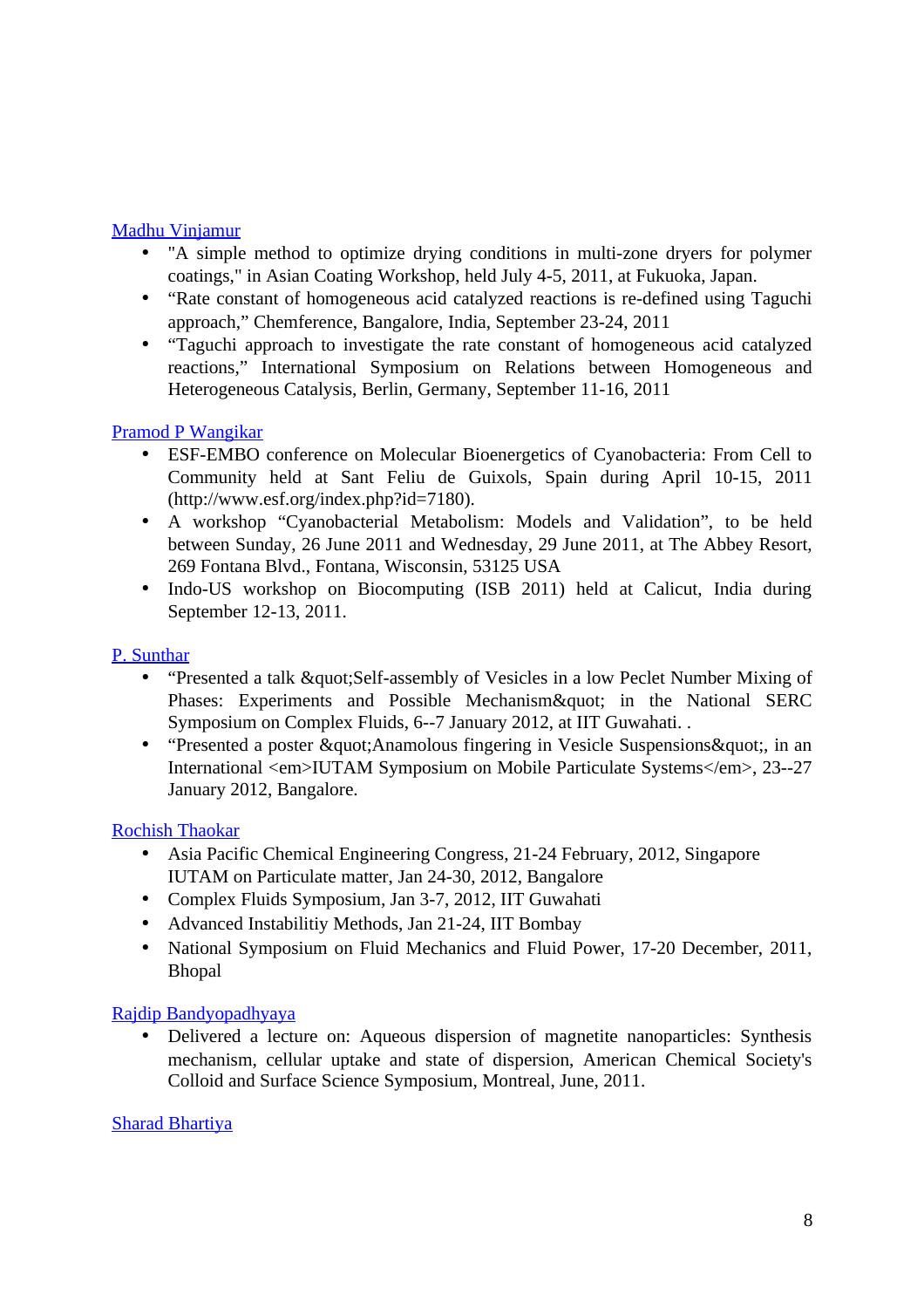#### [Madhu Vinjamur](http://www.che.iitb.ac.in/online/faculty/madhu-vinjamur)

- "A simple method to optimize drying conditions in multi-zone dryers for polymer coatings," in Asian Coating Workshop, held July 4-5, 2011, at Fukuoka, Japan.
- "Rate constant of homogeneous acid catalyzed reactions is re-defined using Taguchi approach," Chemference, Bangalore, India, September 23-24, 2011
- "Taguchi approach to investigate the rate constant of homogeneous acid catalyzed reactions," International Symposium on Relations between Homogeneous and Heterogeneous Catalysis, Berlin, Germany, September 11-16, 2011

#### [Pramod P Wangikar](http://www.che.iitb.ac.in/online/faculty/pramod-p-wangikar)

- ESF-EMBO conference on Molecular Bioenergetics of Cyanobacteria: From Cell to Community held at Sant Feliu de Guixols, Spain during April 10-15, 2011 (http://www.esf.org/index.php?id=7180).
- A workshop "Cyanobacterial Metabolism: Models and Validation", to be held between Sunday, 26 June 2011 and Wednesday, 29 June 2011, at The Abbey Resort, 269 Fontana Blvd., Fontana, Wisconsin, 53125 USA
- Indo-US workshop on Biocomputing (ISB 2011) held at Calicut, India during September 12-13, 2011.

#### P. Sunthar

- "Presented a talk "Self-assembly of Vesicles in a low Peclet Number Mixing of Phases: Experiments and Possible Mechanism" in the National SERC Symposium on Complex Fluids, 6--7 January 2012, at IIT Guwahati. .
- "Presented a poster & quot: Anamolous fingering in Vesicle Suspensions & quot:, in an International <em>IUTAM Symposium on Mobile Particulate Systems</em>, 23--27 January 2012, Bangalore.

#### [Rochish Thaokar](http://www.che.iitb.ac.in/online/faculty/rochish-thaokar)

- Asia Pacific Chemical Engineering Congress, 21-24 February, 2012, Singapore IUTAM on Particulate matter, Jan 24-30, 2012, Bangalore
- Complex Fluids Symposium, Jan 3-7, 2012, IIT Guwahati
- Advanced Instabilitiy Methods, Jan 21-24, IIT Bombay
- National Symposium on Fluid Mechanics and Fluid Power, 17-20 December, 2011, Bhopal

#### [Rajdip Bandyopadhyaya](http://www.che.iitb.ac.in/online/faculty/rajdip-bandyopadhyaya)

• Delivered a lecture on: Aqueous dispersion of magnetite nanoparticles: Synthesis mechanism, cellular uptake and state of dispersion, American Chemical Society's Colloid and Surface Science Symposium, Montreal, June, 2011.

#### [Sharad Bhartiya](http://www.che.iitb.ac.in/online/faculty/sharad-bhartiya)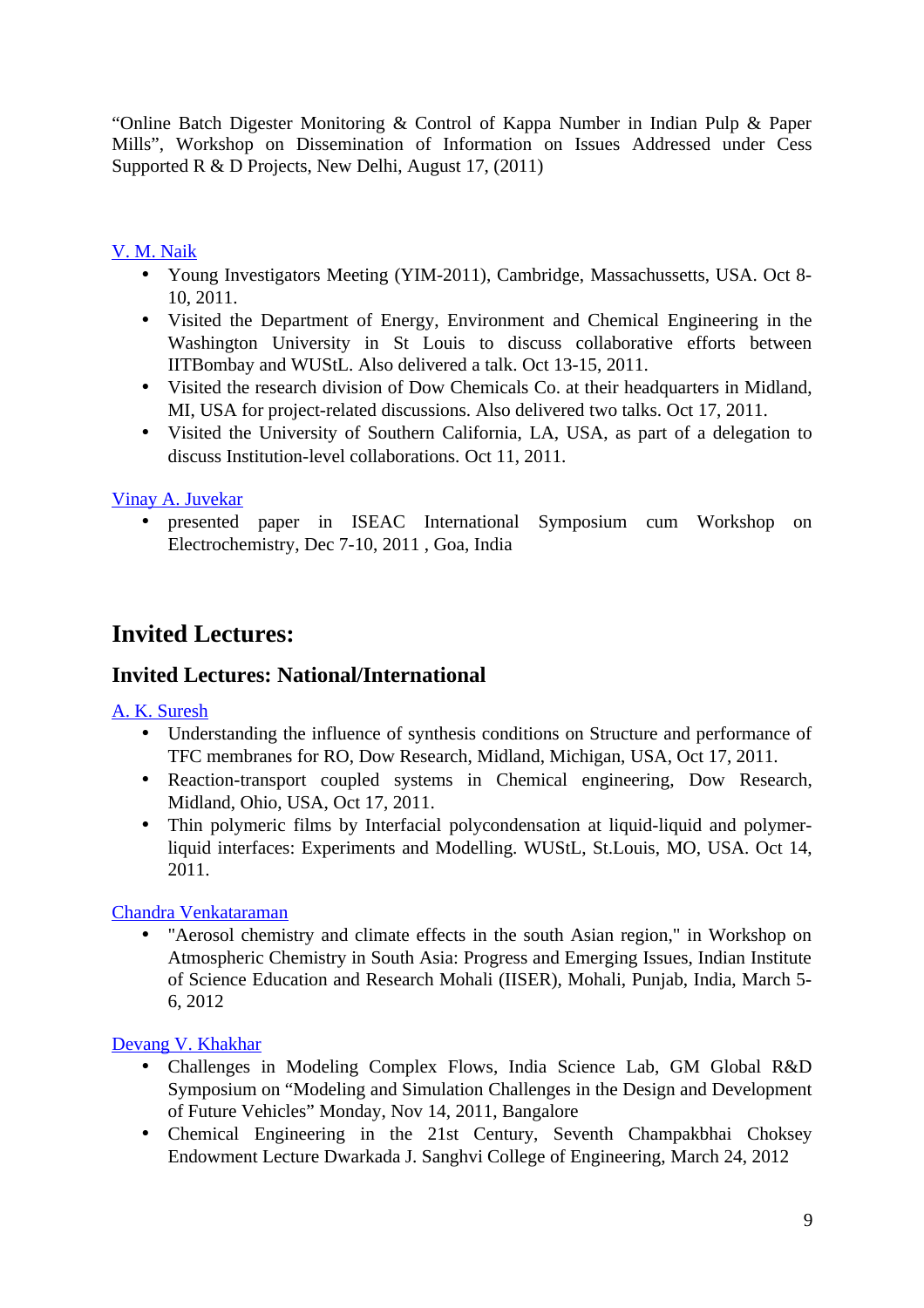"Online Batch Digester Monitoring & Control of Kappa Number in Indian Pulp & Paper Mills", Workshop on Dissemination of Information on Issues Addressed under Cess Supported R & D Projects, New Delhi, August 17, (2011)

### [V. M. Naik](http://www.che.iitb.ac.in/online/faculty/v-m-naik)

- Young Investigators Meeting (YIM-2011), Cambridge, Massachussetts, USA, Oct 8-10, 2011.
- Visited the Department of Energy, Environment and Chemical Engineering in the Washington University in St Louis to discuss collaborative efforts between IITBombay and WUStL. Also delivered a talk. Oct 13-15, 2011.
- Visited the research division of Dow Chemicals Co. at their headquarters in Midland, MI, USA for project-related discussions. Also delivered two talks. Oct 17, 2011.
- Visited the University of Southern California, LA, USA, as part of a delegation to discuss Institution-level collaborations. Oct 11, 2011.

#### [Vinay A. Juvekar](http://www.che.iitb.ac.in/online/faculty/vinay-a-juvekar)

• presented paper in ISEAC International Symposium cum Workshop on Electrochemistry, Dec 7-10, 2011 , Goa, India

## **Invited Lectures:**

## **Invited Lectures: National/International**

#### [A. K. Suresh](http://www.che.iitb.ac.in/online/faculty/a-k-suresh)

- Understanding the influence of synthesis conditions on Structure and performance of TFC membranes for RO, Dow Research, Midland, Michigan, USA, Oct 17, 2011.
- Reaction-transport coupled systems in Chemical engineering, Dow Research, Midland, Ohio, USA, Oct 17, 2011.
- Thin polymeric films by Interfacial polycondensation at liquid-liquid and polymerliquid interfaces: Experiments and Modelling. WUStL, St.Louis, MO, USA. Oct 14, 2011.

#### [Chandra Venkataraman](http://www.che.iitb.ac.in/online/faculty/chandra-venkataraman)

• "Aerosol chemistry and climate effects in the south Asian region," in Workshop on Atmospheric Chemistry in South Asia: Progress and Emerging Issues, Indian Institute of Science Education and Research Mohali (IISER), Mohali, Punjab, India, March 5- 6, 2012

#### [Devang V. Khakhar](http://www.che.iitb.ac.in/online/faculty/devang-v-khakhar)

- Challenges in Modeling Complex Flows, India Science Lab, GM Global R&D Symposium on "Modeling and Simulation Challenges in the Design and Development of Future Vehicles" Monday, Nov 14, 2011, Bangalore
- Chemical Engineering in the 21st Century, Seventh Champakbhai Choksey Endowment Lecture Dwarkada J. Sanghvi College of Engineering, March 24, 2012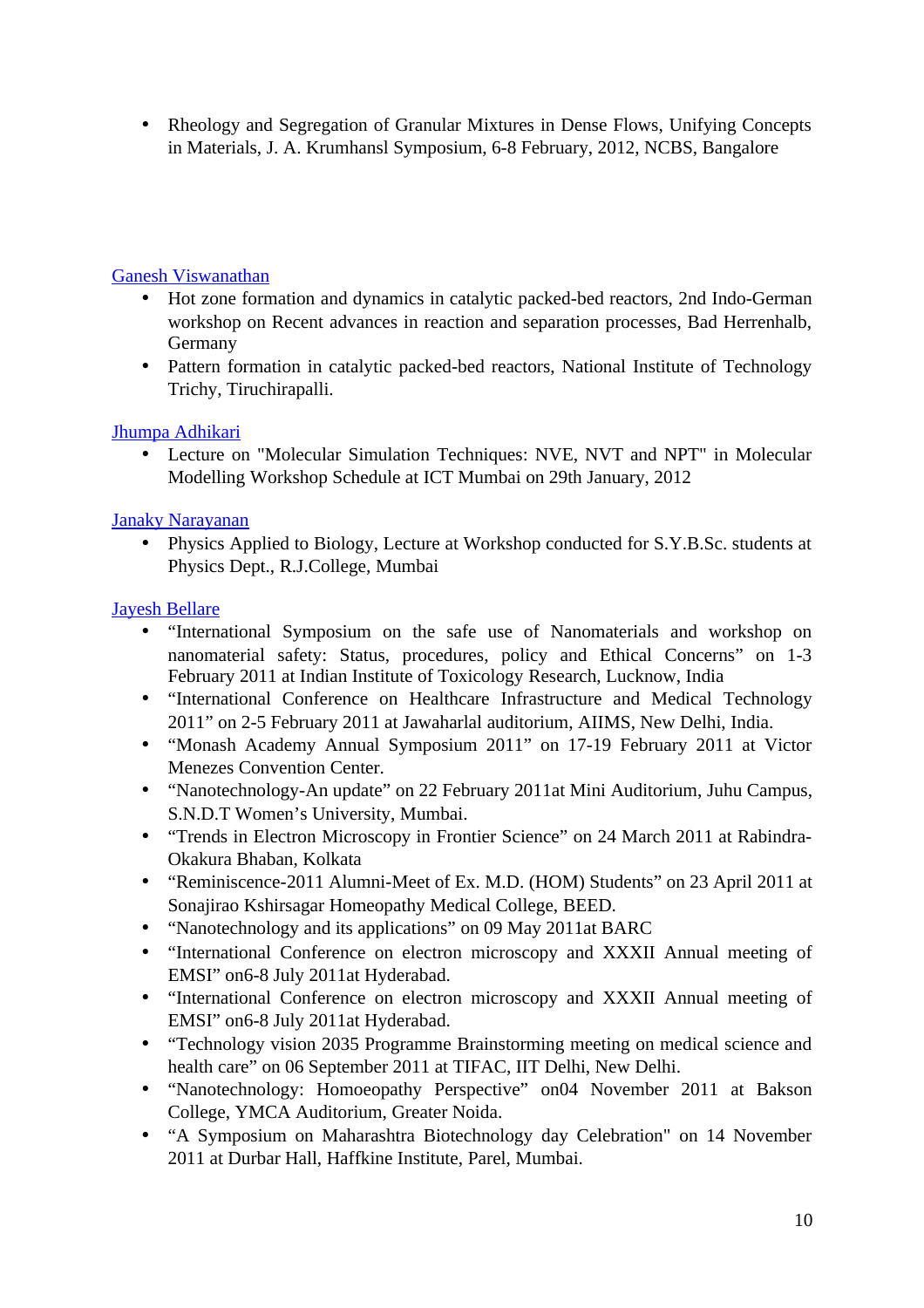• Rheology and Segregation of Granular Mixtures in Dense Flows, Unifying Concepts in Materials, J. A. Krumhansl Symposium, 6-8 February, 2012, NCBS, Bangalore

#### [Ganesh Viswanathan](http://www.che.iitb.ac.in/online/faculty/ganesh-viswanathan)

- Hot zone formation and dynamics in catalytic packed-bed reactors, 2nd Indo-German workshop on Recent advances in reaction and separation processes, Bad Herrenhalb, Germany
- Pattern formation in catalytic packed-bed reactors, National Institute of Technology Trichy, Tiruchirapalli.

#### [Jhumpa Adhikari](http://www.che.iitb.ac.in/online/faculty/jhumpa-adhikari)

• Lecture on "Molecular Simulation Techniques: NVE, NVT and NPT" in Molecular Modelling Workshop Schedule at ICT Mumbai on 29th January, 2012

#### [Janaky Narayanan](http://www.che.iitb.ac.in/online/faculty/janaky-narayanan)

• Physics Applied to Biology, Lecture at Workshop conducted for S.Y.B.Sc. students at Physics Dept., R.J.College, Mumbai

#### [Jayesh Bellare](http://www.che.iitb.ac.in/online/faculty/jayesh-bellare)

- "International Symposium on the safe use of Nanomaterials and workshop on nanomaterial safety: Status, procedures, policy and Ethical Concerns" on 1-3 February 2011 at Indian Institute of Toxicology Research, Lucknow, India
- "International Conference on Healthcare Infrastructure and Medical Technology 2011" on 2-5 February 2011 at Jawaharlal auditorium, AIIMS, New Delhi, India.
- "Monash Academy Annual Symposium 2011" on 17-19 February 2011 at Victor Menezes Convention Center.
- "Nanotechnology-An update" on 22 February 2011at Mini Auditorium, Juhu Campus, S.N.D.T Women's University, Mumbai.
- "Trends in Electron Microscopy in Frontier Science" on 24 March 2011 at Rabindra-Okakura Bhaban, Kolkata
- "Reminiscence-2011 Alumni-Meet of Ex. M.D. (HOM) Students" on 23 April 2011 at Sonajirao Kshirsagar Homeopathy Medical College, BEED.
- "Nanotechnology and its applications" on 09 May 2011at BARC
- "International Conference on electron microscopy and XXXII Annual meeting of EMSI" on6-8 July 2011at Hyderabad.
- "International Conference on electron microscopy and XXXII Annual meeting of EMSI" on6-8 July 2011at Hyderabad.
- "Technology vision 2035 Programme Brainstorming meeting on medical science and health care" on 06 September 2011 at TIFAC, IIT Delhi, New Delhi.
- "Nanotechnology: Homoeopathy Perspective" on04 November 2011 at Bakson College, YMCA Auditorium, Greater Noida.
- "A Symposium on Maharashtra Biotechnology day Celebration" on 14 November 2011 at Durbar Hall, Haffkine Institute, Parel, Mumbai.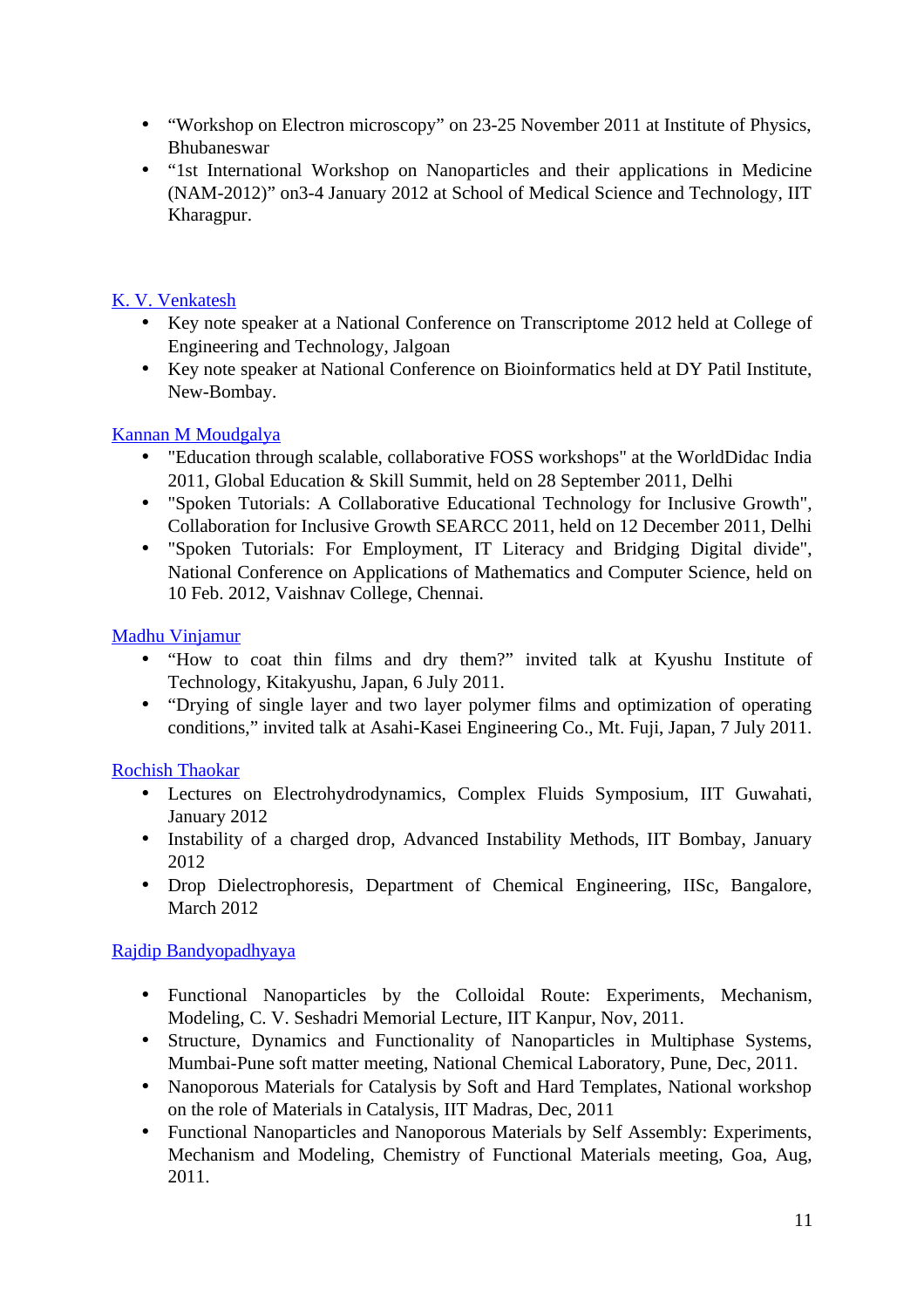- "Workshop on Electron microscopy" on 23-25 November 2011 at Institute of Physics, Bhubaneswar
- "1st International Workshop on Nanoparticles and their applications in Medicine (NAM-2012)" on3-4 January 2012 at School of Medical Science and Technology, IIT Kharagpur.

## [K. V. Venkatesh](http://www.che.iitb.ac.in/online/faculty/k-v-venkatesh)

- Key note speaker at a National Conference on Transcriptome 2012 held at College of Engineering and Technology, Jalgoan
- Key note speaker at National Conference on Bioinformatics held at DY Patil Institute, New-Bombay.

#### [Kannan M Moudgalya](http://www.che.iitb.ac.in/online/faculty/kannan-m-moudgalya)

- "Education through scalable, collaborative FOSS workshops" at the WorldDidac India 2011, Global Education & Skill Summit, held on 28 September 2011, Delhi
- "Spoken Tutorials: A Collaborative Educational Technology for Inclusive Growth", Collaboration for Inclusive Growth SEARCC 2011, held on 12 December 2011, Delhi
- "Spoken Tutorials: For Employment, IT Literacy and Bridging Digital divide", National Conference on Applications of Mathematics and Computer Science, held on 10 Feb. 2012, Vaishnav College, Chennai.

#### [Madhu Vinjamur](http://www.che.iitb.ac.in/online/faculty/madhu-vinjamur)

- "How to coat thin films and dry them?" invited talk at Kyushu Institute of Technology, Kitakyushu, Japan, 6 July 2011.
- "Drying of single layer and two layer polymer films and optimization of operating conditions," invited talk at Asahi-Kasei Engineering Co., Mt. Fuji, Japan, 7 July 2011.

## [Rochish Thaokar](http://www.che.iitb.ac.in/online/faculty/rochish-thaokar)

- Lectures on Electrohydrodynamics, Complex Fluids Symposium, IIT Guwahati, January 2012
- Instability of a charged drop, Advanced Instability Methods, IIT Bombay, January 2012
- Drop Dielectrophoresis, Department of Chemical Engineering, IISc, Bangalore, March 2012

## [Rajdip Bandyopadhyaya](http://www.che.iitb.ac.in/online/faculty/rajdip-bandyopadhyaya)

- Functional Nanoparticles by the Colloidal Route: Experiments, Mechanism, Modeling, C. V. Seshadri Memorial Lecture, IIT Kanpur, Nov, 2011.
- Structure, Dynamics and Functionality of Nanoparticles in Multiphase Systems, Mumbai-Pune soft matter meeting, National Chemical Laboratory, Pune, Dec, 2011.
- Nanoporous Materials for Catalysis by Soft and Hard Templates, National workshop on the role of Materials in Catalysis, IIT Madras, Dec, 2011
- Functional Nanoparticles and Nanoporous Materials by Self Assembly: Experiments, Mechanism and Modeling, Chemistry of Functional Materials meeting, Goa, Aug, 2011.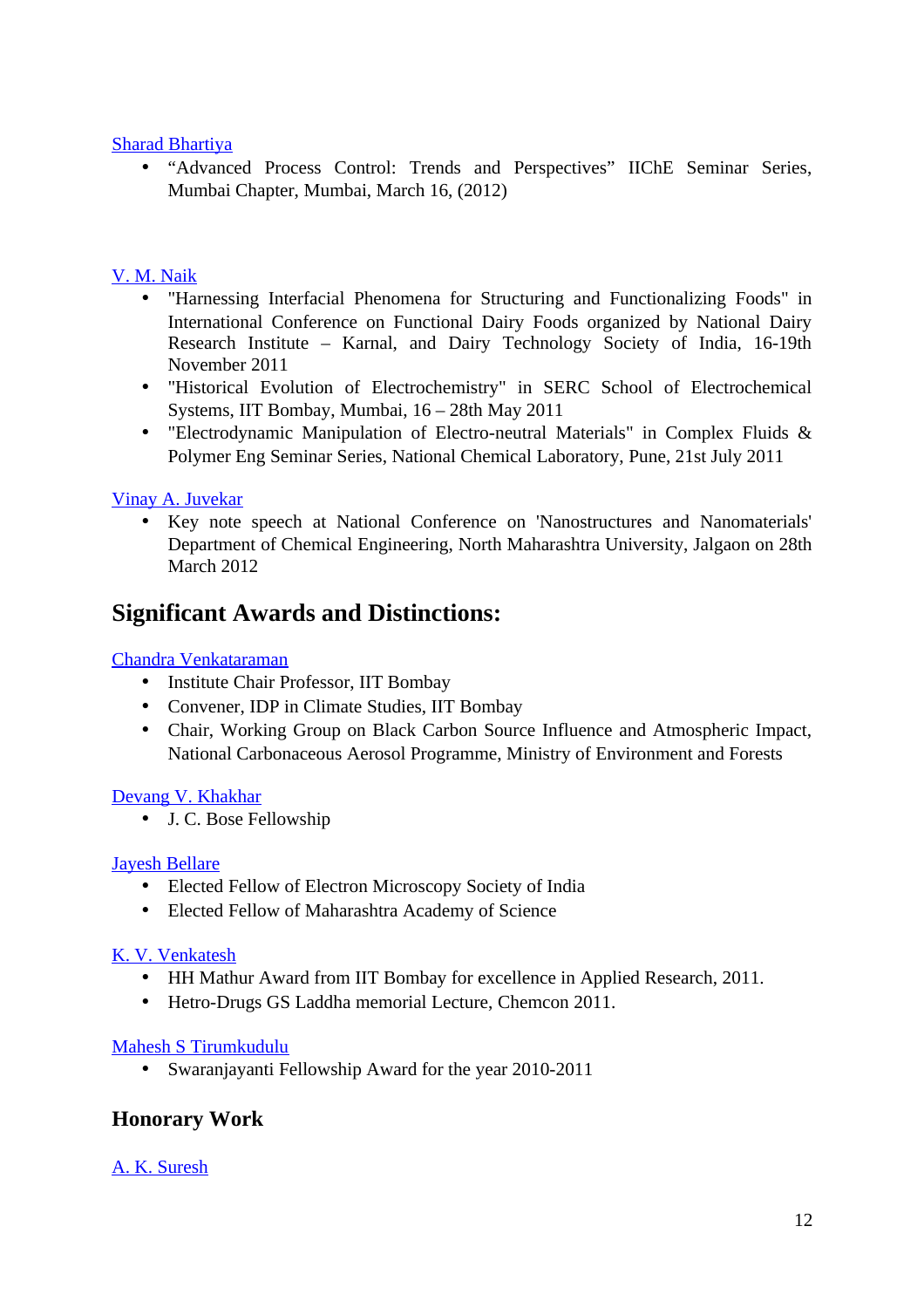#### [Sharad Bhartiya](http://www.che.iitb.ac.in/online/faculty/sharad-bhartiya)

• "Advanced Process Control: Trends and Perspectives" IIChE Seminar Series, Mumbai Chapter, Mumbai, March 16, (2012)

#### [V. M. Naik](http://www.che.iitb.ac.in/online/faculty/v-m-naik)

- "Harnessing Interfacial Phenomena for Structuring and Functionalizing Foods" in International Conference on Functional Dairy Foods organized by National Dairy Research Institute – Karnal, and Dairy Technology Society of India, 16-19th November 2011
- "Historical Evolution of Electrochemistry" in SERC School of Electrochemical Systems, IIT Bombay, Mumbai, 16 – 28th May 2011
- "Electrodynamic Manipulation of Electro-neutral Materials" in Complex Fluids & Polymer Eng Seminar Series, National Chemical Laboratory, Pune, 21st July 2011

#### [Vinay A. Juvekar](http://www.che.iitb.ac.in/online/faculty/vinay-a-juvekar)

• Key note speech at National Conference on 'Nanostructures and Nanomaterials' Department of Chemical Engineering, North Maharashtra University, Jalgaon on 28th March 2012

## **Significant Awards and Distinctions:**

#### [Chandra Venkataraman](http://www.che.iitb.ac.in/online/faculty/chandra-venkataraman)

- Institute Chair Professor, IIT Bombay
- Convener, IDP in Climate Studies, IIT Bombay
- Chair, Working Group on Black Carbon Source Influence and Atmospheric Impact, National Carbonaceous Aerosol Programme, Ministry of Environment and Forests

#### [Devang V. Khakhar](http://www.che.iitb.ac.in/online/faculty/devang-v-khakhar)

• J. C. Bose Fellowship

#### [Jayesh Bellare](http://www.che.iitb.ac.in/online/faculty/jayesh-bellare)

- Elected Fellow of Electron Microscopy Society of India
- Elected Fellow of Maharashtra Academy of Science

#### [K. V. Venkatesh](http://www.che.iitb.ac.in/online/faculty/k-v-venkatesh)

- HH Mathur Award from IIT Bombay for excellence in Applied Research, 2011.
- Hetro-Drugs GS Laddha memorial Lecture, Chemcon 2011.

#### [Mahesh S Tirumkudulu](http://www.che.iitb.ac.in/online/faculty/mahesh-s-tirumkudulu)

• Swaranjayanti Fellowship Award for the year 2010-2011

## **Honorary Work**

#### [A. K. Suresh](http://www.che.iitb.ac.in/online/faculty/a-k-suresh)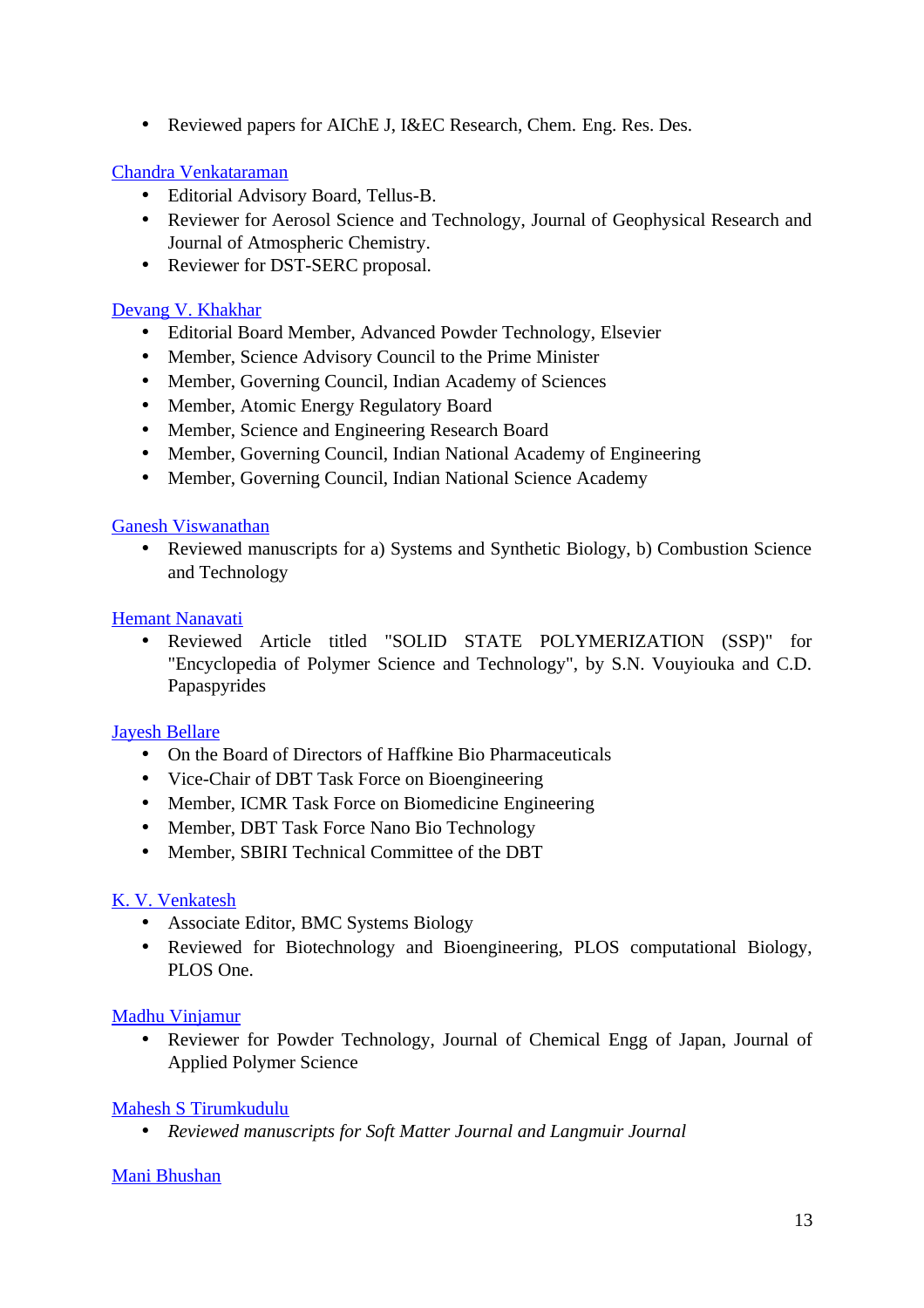• Reviewed papers for AIChE J, I&EC Research, Chem. Eng. Res. Des.

#### [Chandra Venkataraman](http://www.che.iitb.ac.in/online/faculty/chandra-venkataraman)

- Editorial Advisory Board, Tellus-B.
- Reviewer for Aerosol Science and Technology, Journal of Geophysical Research and Journal of Atmospheric Chemistry.
- Reviewer for DST-SERC proposal.

#### [Devang V. Khakhar](http://www.che.iitb.ac.in/online/faculty/devang-v-khakhar)

- Editorial Board Member, Advanced Powder Technology, Elsevier
- Member, Science Advisory Council to the Prime Minister
- Member, Governing Council, Indian Academy of Sciences
- Member, Atomic Energy Regulatory Board
- Member, Science and Engineering Research Board
- Member, Governing Council, Indian National Academy of Engineering
- Member, Governing Council, Indian National Science Academy

#### [Ganesh Viswanathan](http://www.che.iitb.ac.in/online/faculty/ganesh-viswanathan)

• Reviewed manuscripts for a) Systems and Synthetic Biology, b) Combustion Science and Technology

#### [Hemant Nanavati](http://www.che.iitb.ac.in/online/faculty/hemant-nanavati)

• Reviewed Article titled "SOLID STATE POLYMERIZATION (SSP)" for "Encyclopedia of Polymer Science and Technology", by S.N. Vouyiouka and C.D. Papaspyrides

#### [Jayesh Bellare](http://www.che.iitb.ac.in/online/faculty/jayesh-bellare)

- On the Board of Directors of Haffkine Bio Pharmaceuticals
- Vice-Chair of DBT Task Force on Bioengineering
- Member, ICMR Task Force on Biomedicine Engineering
- Member, DBT Task Force Nano Bio Technology
- Member, SBIRI Technical Committee of the DBT

#### [K. V. Venkatesh](http://www.che.iitb.ac.in/online/faculty/k-v-venkatesh)

- Associate Editor, BMC Systems Biology
- Reviewed for Biotechnology and Bioengineering, PLOS computational Biology, PLOS One.

#### [Madhu Vinjamur](http://www.che.iitb.ac.in/online/faculty/madhu-vinjamur)

• Reviewer for Powder Technology, Journal of Chemical Engg of Japan, Journal of Applied Polymer Science

#### [Mahesh S Tirumkudulu](http://www.che.iitb.ac.in/online/faculty/mahesh-s-tirumkudulu)

• *Reviewed manuscripts for Soft Matter Journal and Langmuir Journal*

#### [Mani Bhushan](http://www.che.iitb.ac.in/online/faculty/mani-bhushan)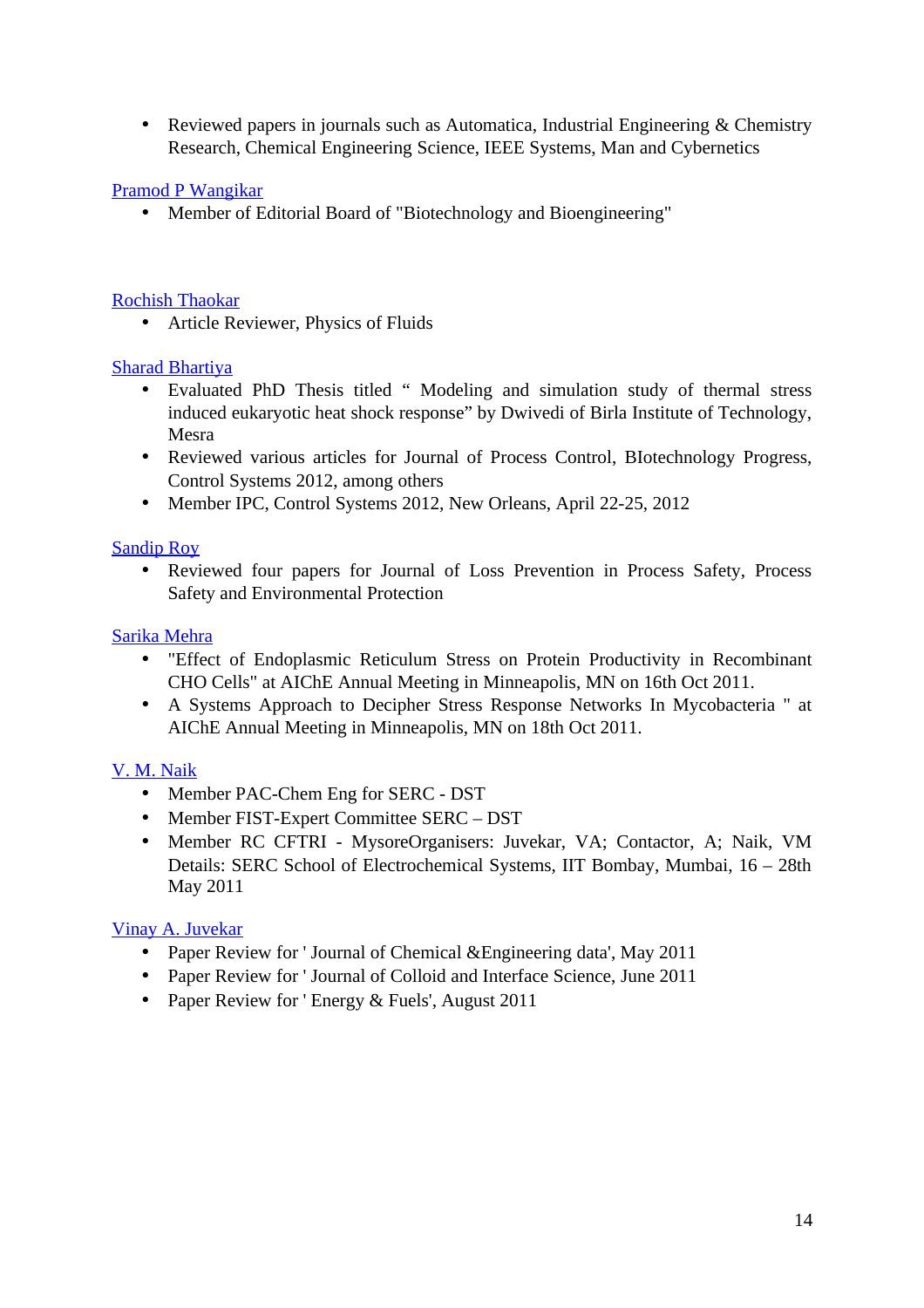• Reviewed papers in journals such as Automatica, Industrial Engineering & Chemistry Research, Chemical Engineering Science, IEEE Systems, Man and Cybernetics

#### [Pramod P Wangikar](http://www.che.iitb.ac.in/online/faculty/pramod-p-wangikar)

• Member of Editorial Board of "Biotechnology and Bioengineering"

#### [Rochish Thaokar](http://www.che.iitb.ac.in/online/faculty/rochish-thaokar)

• Article Reviewer, Physics of Fluids

#### [Sharad Bhartiya](http://www.che.iitb.ac.in/online/faculty/sharad-bhartiya)

- Evaluated PhD Thesis titled " Modeling and simulation study of thermal stress induced eukaryotic heat shock response" by Dwivedi of Birla Institute of Technology, Mesra
- Reviewed various articles for Journal of Process Control, BIotechnology Progress, Control Systems 2012, among others
- Member IPC, Control Systems 2012, New Orleans, April 22-25, 2012

#### [Sandip Roy](http://www.che.iitb.ac.in/online/faculty/sandip-roy)

• Reviewed four papers for Journal of Loss Prevention in Process Safety, Process Safety and Environmental Protection

#### [Sarika Mehra](http://www.che.iitb.ac.in/online/faculty/sarika-mehra)

- "Effect of Endoplasmic Reticulum Stress on Protein Productivity in Recombinant CHO Cells" at AIChE Annual Meeting in Minneapolis, MN on 16th Oct 2011.
- A Systems Approach to Decipher Stress Response Networks In Mycobacteria " at AIChE Annual Meeting in Minneapolis, MN on 18th Oct 2011.

## [V. M. Naik](http://www.che.iitb.ac.in/online/faculty/v-m-naik)

- Member PAC-Chem Eng for SERC DST
- Member FIST-Expert Committee SERC DST
- Member RC CFTRI MysoreOrganisers: Juvekar, VA; Contactor, A; Naik, VM Details: SERC School of Electrochemical Systems, IIT Bombay, Mumbai, 16 – 28th May 2011

## [Vinay A. Juvekar](http://www.che.iitb.ac.in/online/faculty/vinay-a-juvekar)

- Paper Review for ' Journal of Chemical & Engineering data', May 2011
- Paper Review for ' Journal of Colloid and Interface Science, June 2011
- Paper Review for ' Energy & Fuels', August 2011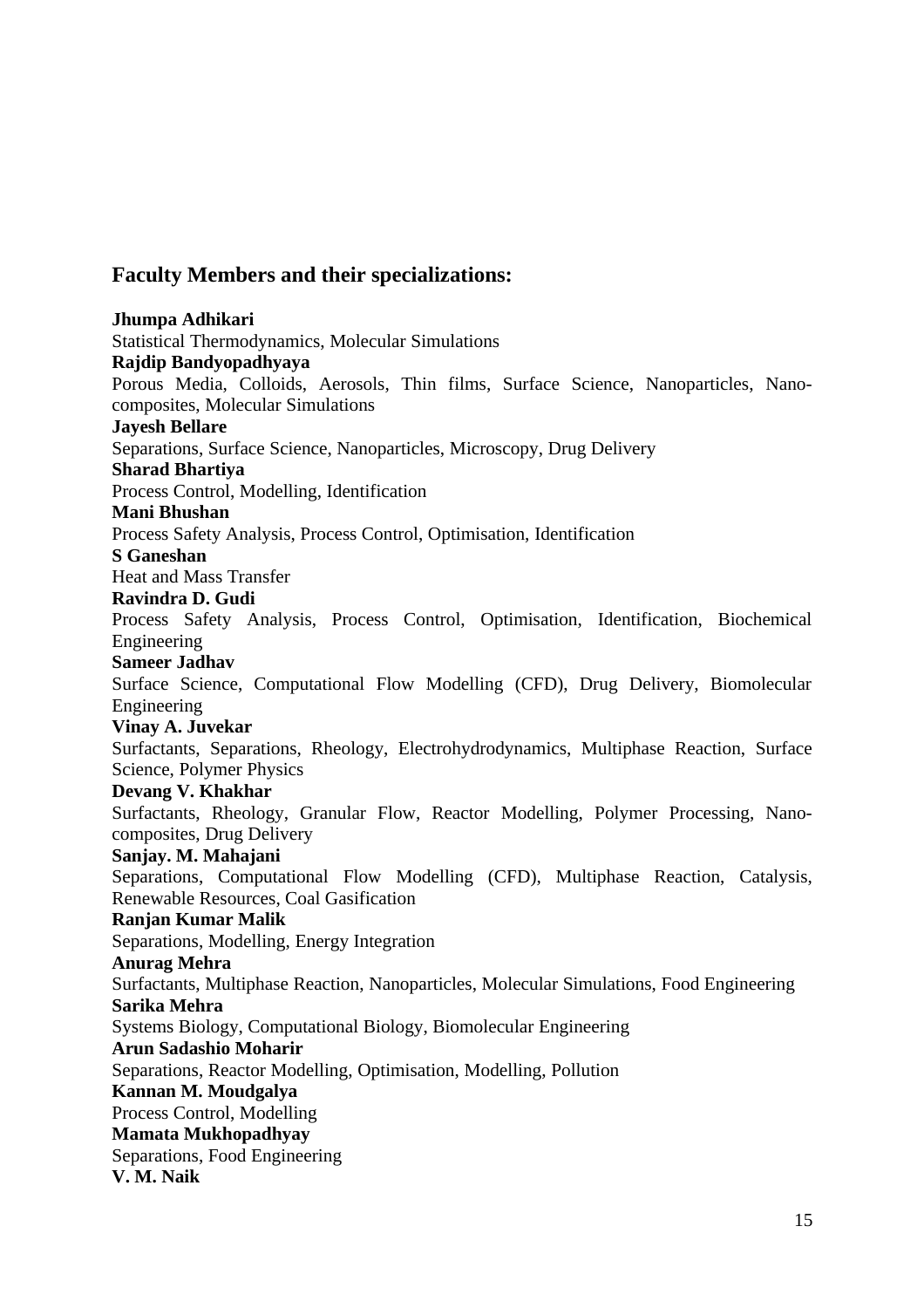## **Faculty Members and their specializations:**

**Jhumpa Adhikari** Statistical Thermodynamics, Molecular Simulations **Rajdip Bandyopadhyaya** Porous Media, Colloids, Aerosols, Thin films, Surface Science, Nanoparticles, Nanocomposites, Molecular Simulations **Jayesh Bellare** Separations, Surface Science, Nanoparticles, Microscopy, Drug Delivery **Sharad Bhartiya** Process Control, Modelling, Identification **Mani Bhushan** Process Safety Analysis, Process Control, Optimisation, Identification **S Ganeshan** Heat and Mass Transfer **Ravindra D. Gudi** Process Safety Analysis, Process Control, Optimisation, Identification, Biochemical Engineering **Sameer Jadhav** Surface Science, Computational Flow Modelling (CFD), Drug Delivery, Biomolecular Engineering **Vinay A. Juvekar** Surfactants, Separations, Rheology, Electrohydrodynamics, Multiphase Reaction, Surface Science, Polymer Physics **Devang V. Khakhar** Surfactants, Rheology, Granular Flow, Reactor Modelling, Polymer Processing, Nanocomposites, Drug Delivery **Sanjay. M. Mahajani** Separations, Computational Flow Modelling (CFD), Multiphase Reaction, Catalysis, Renewable Resources, Coal Gasification **Ranjan Kumar Malik** Separations, Modelling, Energy Integration **Anurag Mehra** Surfactants, Multiphase Reaction, Nanoparticles, Molecular Simulations, Food Engineering **Sarika Mehra** Systems Biology, Computational Biology, Biomolecular Engineering **Arun Sadashio Moharir** Separations, Reactor Modelling, Optimisation, Modelling, Pollution **Kannan M. Moudgalya** Process Control, Modelling **Mamata Mukhopadhyay** Separations, Food Engineering **V. M. Naik**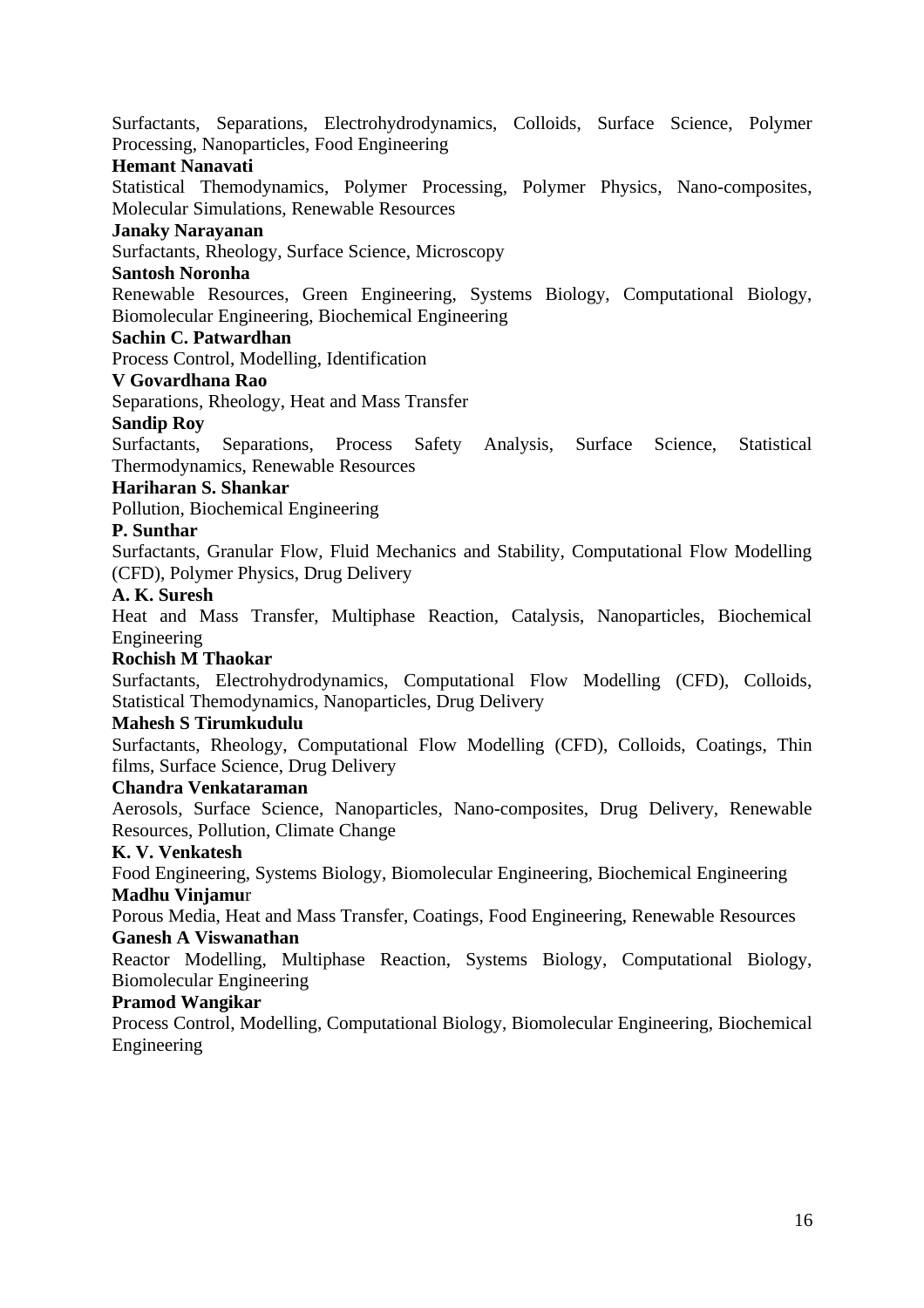Surfactants, Separations, Electrohydrodynamics, Colloids, Surface Science, Polymer Processing, Nanoparticles, Food Engineering

#### **Hemant Nanavati**

Statistical Themodynamics, Polymer Processing, Polymer Physics, Nano-composites, Molecular Simulations, Renewable Resources

#### **Janaky Narayanan**

Surfactants, Rheology, Surface Science, Microscopy

#### **Santosh Noronha**

Renewable Resources, Green Engineering, Systems Biology, Computational Biology, Biomolecular Engineering, Biochemical Engineering

#### **Sachin C. Patwardhan**

Process Control, Modelling, Identification

#### **V Govardhana Rao**

Separations, Rheology, Heat and Mass Transfer

#### **Sandip Roy**

Surfactants, Separations, Process Safety Analysis, Surface Science, Statistical Thermodynamics, Renewable Resources

#### **Hariharan S. Shankar**

Pollution, Biochemical Engineering

#### **P. Sunthar**

Surfactants, Granular Flow, Fluid Mechanics and Stability, Computational Flow Modelling (CFD), Polymer Physics, Drug Delivery

#### **A. K. Suresh**

Heat and Mass Transfer, Multiphase Reaction, Catalysis, Nanoparticles, Biochemical Engineering

#### **Rochish M Thaokar**

Surfactants, Electrohydrodynamics, Computational Flow Modelling (CFD), Colloids, Statistical Themodynamics, Nanoparticles, Drug Delivery

#### **Mahesh S Tirumkudulu**

Surfactants, Rheology, Computational Flow Modelling (CFD), Colloids, Coatings, Thin films, Surface Science, Drug Delivery

#### **Chandra Venkataraman**

Aerosols, Surface Science, Nanoparticles, Nano-composites, Drug Delivery, Renewable Resources, Pollution, Climate Change

#### **K. V. Venkatesh**

Food Engineering, Systems Biology, Biomolecular Engineering, Biochemical Engineering **Madhu Vinjamu**r

Porous Media, Heat and Mass Transfer, Coatings, Food Engineering, Renewable Resources **Ganesh A Viswanathan**

Reactor Modelling, Multiphase Reaction, Systems Biology, Computational Biology, Biomolecular Engineering

#### **Pramod Wangikar**

Process Control, Modelling, Computational Biology, Biomolecular Engineering, Biochemical Engineering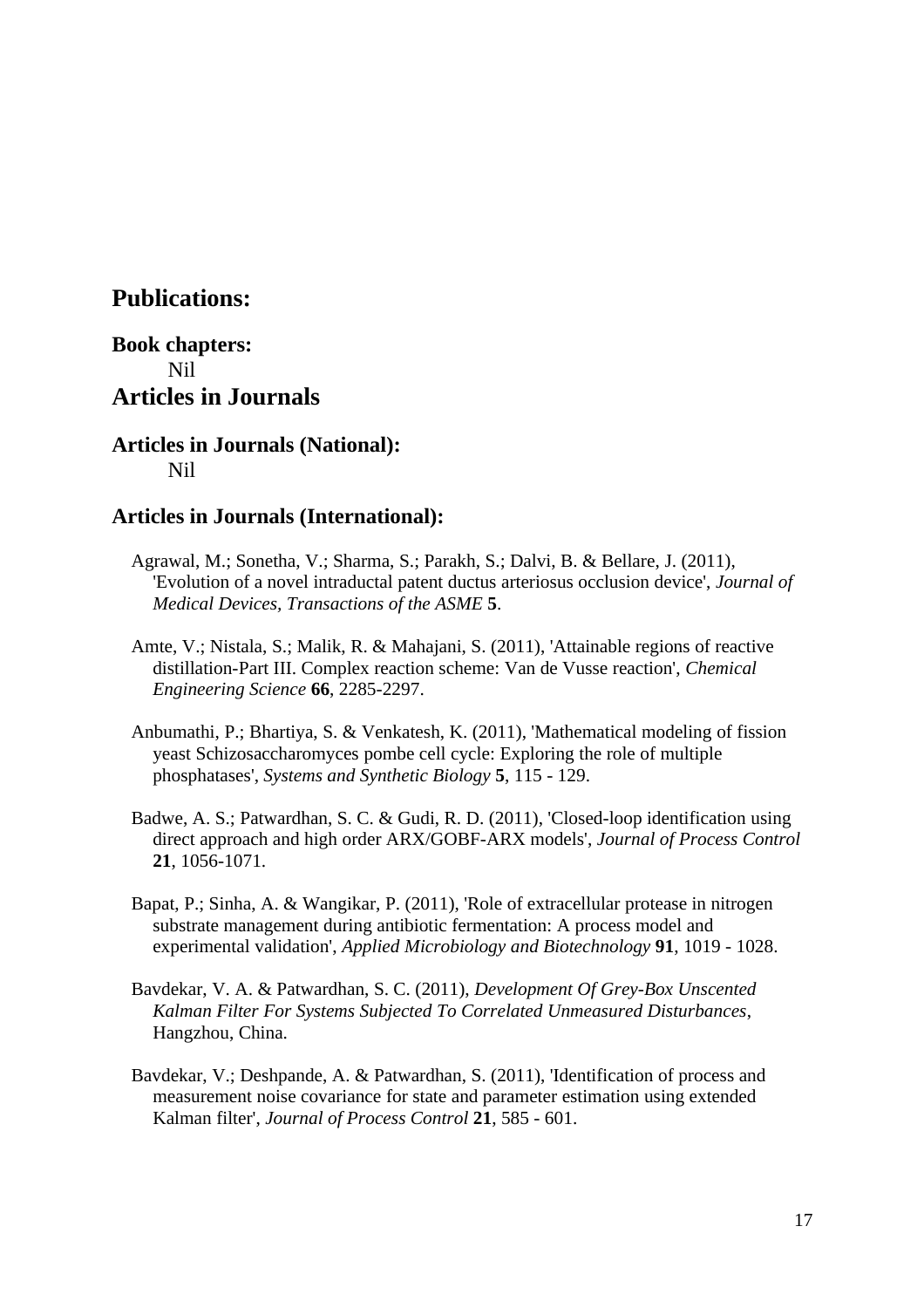## **Publications:**

## **Book chapters:** Nil **Articles in Journals**

**Articles in Journals (National):** Nil

## **Articles in Journals (International):**

- Agrawal, M.; Sonetha, V.; Sharma, S.; Parakh, S.; Dalvi, B. & Bellare, J. (2011), 'Evolution of a novel intraductal patent ductus arteriosus occlusion device', *Journal of Medical Devices, Transactions of the ASME* **5**.
- Amte, V.; Nistala, S.; Malik, R. & Mahajani, S. (2011), 'Attainable regions of reactive distillation-Part III. Complex reaction scheme: Van de Vusse reaction', *Chemical Engineering Science* **66**, 2285-2297.
- Anbumathi, P.; Bhartiya, S. & Venkatesh, K. (2011), 'Mathematical modeling of fission yeast Schizosaccharomyces pombe cell cycle: Exploring the role of multiple phosphatases', *Systems and Synthetic Biology* **5**, 115 - 129.
- Badwe, A. S.; Patwardhan, S. C. & Gudi, R. D. (2011), 'Closed-loop identification using direct approach and high order ARX/GOBF-ARX models', *Journal of Process Control* **21**, 1056-1071.
- Bapat, P.; Sinha, A. & Wangikar, P. (2011), 'Role of extracellular protease in nitrogen substrate management during antibiotic fermentation: A process model and experimental validation', *Applied Microbiology and Biotechnology* **91**, 1019 - 1028.
- Bavdekar, V. A. & Patwardhan, S. C. (2011), *Development Of Grey-Box Unscented Kalman Filter For Systems Subjected To Correlated Unmeasured Disturbances*, Hangzhou, China.
- Bavdekar, V.; Deshpande, A. & Patwardhan, S. (2011), 'Identification of process and measurement noise covariance for state and parameter estimation using extended Kalman filter', *Journal of Process Control* **21**, 585 - 601.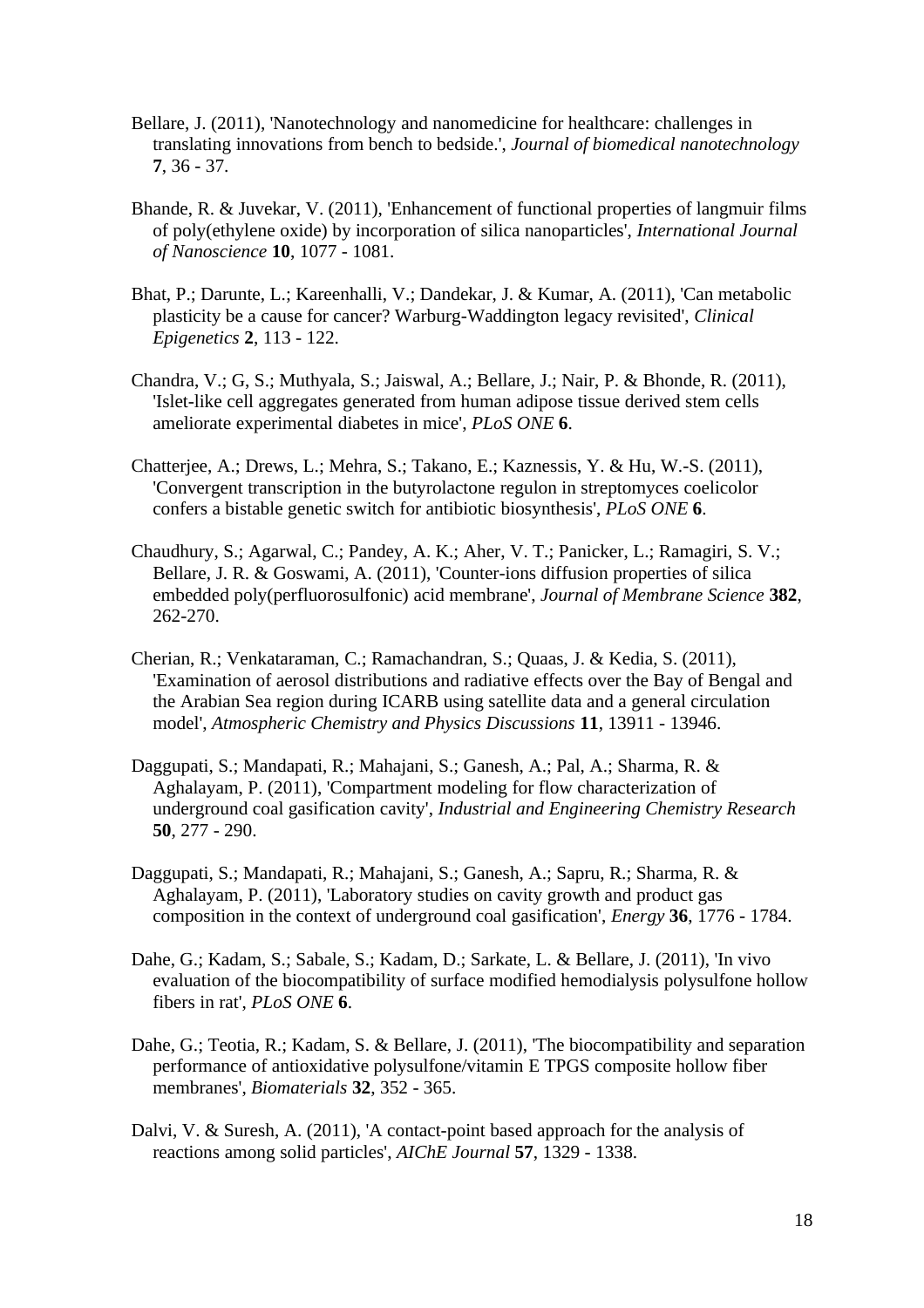- Bellare, J. (2011), 'Nanotechnology and nanomedicine for healthcare: challenges in translating innovations from bench to bedside.', *Journal of biomedical nanotechnology* **7**, 36 - 37.
- Bhande, R. & Juvekar, V. (2011), 'Enhancement of functional properties of langmuir films of poly(ethylene oxide) by incorporation of silica nanoparticles', *International Journal of Nanoscience* **10**, 1077 - 1081.
- Bhat, P.; Darunte, L.; Kareenhalli, V.; Dandekar, J. & Kumar, A. (2011), 'Can metabolic plasticity be a cause for cancer? Warburg-Waddington legacy revisited', *Clinical Epigenetics* **2**, 113 - 122.
- Chandra, V.; G, S.; Muthyala, S.; Jaiswal, A.; Bellare, J.; Nair, P. & Bhonde, R. (2011), 'Islet-like cell aggregates generated from human adipose tissue derived stem cells ameliorate experimental diabetes in mice', *PLoS ONE* **6**.
- Chatterjee, A.; Drews, L.; Mehra, S.; Takano, E.; Kaznessis, Y. & Hu, W.-S. (2011), 'Convergent transcription in the butyrolactone regulon in streptomyces coelicolor confers a bistable genetic switch for antibiotic biosynthesis', *PLoS ONE* **6**.
- Chaudhury, S.; Agarwal, C.; Pandey, A. K.; Aher, V. T.; Panicker, L.; Ramagiri, S. V.; Bellare, J. R. & Goswami, A. (2011), 'Counter-ions diffusion properties of silica embedded poly(perfluorosulfonic) acid membrane', *Journal of Membrane Science* **382**, 262-270.
- Cherian, R.; Venkataraman, C.; Ramachandran, S.; Quaas, J. & Kedia, S. (2011), 'Examination of aerosol distributions and radiative effects over the Bay of Bengal and the Arabian Sea region during ICARB using satellite data and a general circulation model', *Atmospheric Chemistry and Physics Discussions* **11**, 13911 - 13946.
- Daggupati, S.; Mandapati, R.; Mahajani, S.; Ganesh, A.; Pal, A.; Sharma, R. & Aghalayam, P. (2011), 'Compartment modeling for flow characterization of underground coal gasification cavity', *Industrial and Engineering Chemistry Research* **50**, 277 - 290.
- Daggupati, S.; Mandapati, R.; Mahajani, S.; Ganesh, A.; Sapru, R.; Sharma, R. & Aghalayam, P. (2011), 'Laboratory studies on cavity growth and product gas composition in the context of underground coal gasification', *Energy* **36**, 1776 - 1784.
- Dahe, G.; Kadam, S.; Sabale, S.; Kadam, D.; Sarkate, L. & Bellare, J. (2011), 'In vivo evaluation of the biocompatibility of surface modified hemodialysis polysulfone hollow fibers in rat', *PLoS ONE* **6**.
- Dahe, G.; Teotia, R.; Kadam, S. & Bellare, J. (2011), 'The biocompatibility and separation performance of antioxidative polysulfone/vitamin E TPGS composite hollow fiber membranes', *Biomaterials* **32**, 352 - 365.
- Dalvi, V. & Suresh, A. (2011), 'A contact-point based approach for the analysis of reactions among solid particles', *AIChE Journal* **57**, 1329 - 1338.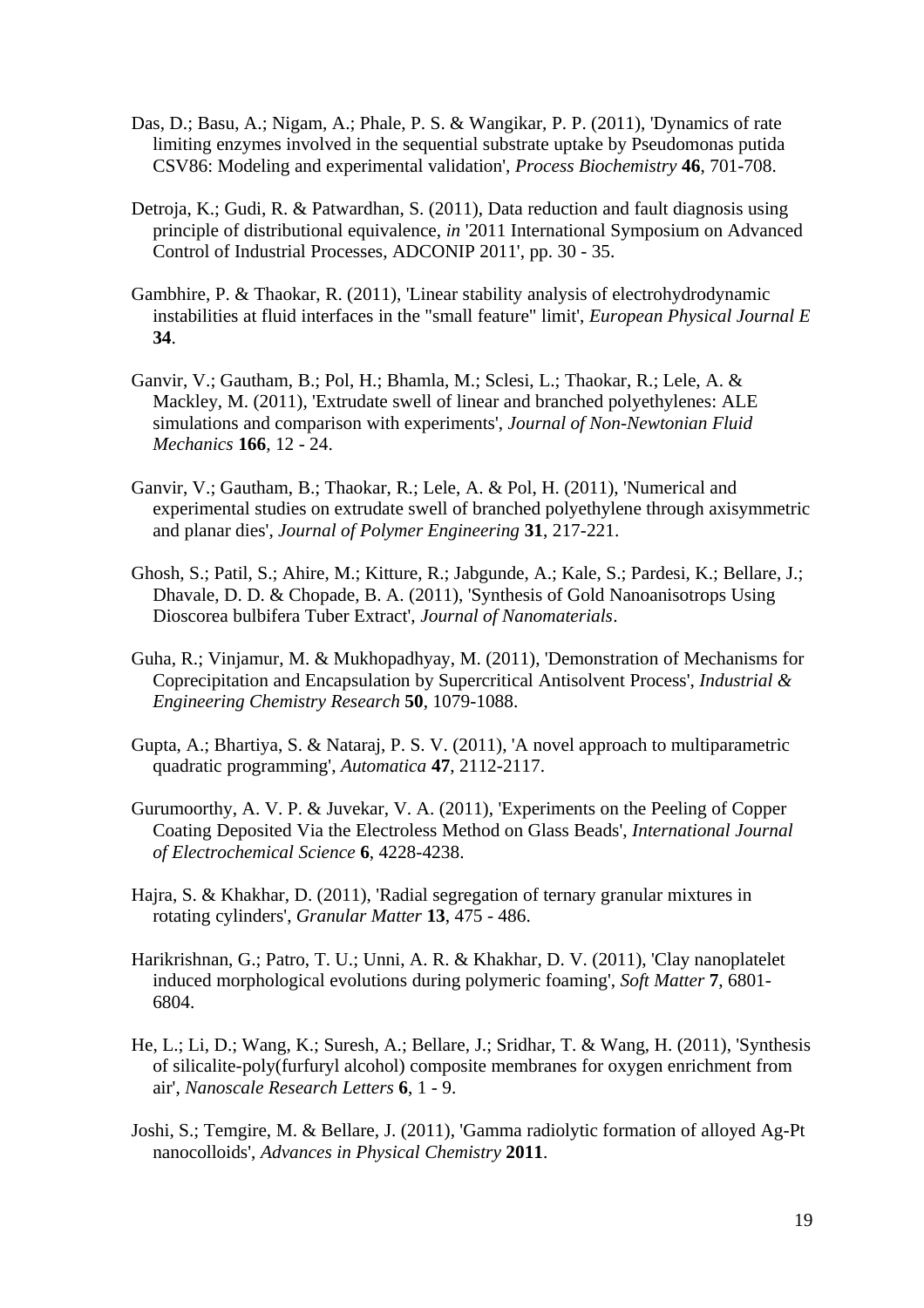- Das, D.; Basu, A.; Nigam, A.; Phale, P. S. & Wangikar, P. P. (2011), 'Dynamics of rate limiting enzymes involved in the sequential substrate uptake by Pseudomonas putida CSV86: Modeling and experimental validation', *Process Biochemistry* **46**, 701-708.
- Detroja, K.; Gudi, R. & Patwardhan, S. (2011), Data reduction and fault diagnosis using principle of distributional equivalence, *in* '2011 International Symposium on Advanced Control of Industrial Processes, ADCONIP 2011', pp. 30 - 35.
- Gambhire, P. & Thaokar, R. (2011), 'Linear stability analysis of electrohydrodynamic instabilities at fluid interfaces in the "small feature" limit', *European Physical Journal E* **34**.
- Ganvir, V.; Gautham, B.; Pol, H.; Bhamla, M.; Sclesi, L.; Thaokar, R.; Lele, A. & Mackley, M. (2011), 'Extrudate swell of linear and branched polyethylenes: ALE simulations and comparison with experiments', *Journal of Non-Newtonian Fluid Mechanics* **166**, 12 - 24.
- Ganvir, V.; Gautham, B.; Thaokar, R.; Lele, A. & Pol, H. (2011), 'Numerical and experimental studies on extrudate swell of branched polyethylene through axisymmetric and planar dies', *Journal of Polymer Engineering* **31**, 217-221.
- Ghosh, S.; Patil, S.; Ahire, M.; Kitture, R.; Jabgunde, A.; Kale, S.; Pardesi, K.; Bellare, J.; Dhavale, D. D. & Chopade, B. A. (2011), 'Synthesis of Gold Nanoanisotrops Using Dioscorea bulbifera Tuber Extract', *Journal of Nanomaterials*.
- Guha, R.; Vinjamur, M. & Mukhopadhyay, M. (2011), 'Demonstration of Mechanisms for Coprecipitation and Encapsulation by Supercritical Antisolvent Process', *Industrial & Engineering Chemistry Research* **50**, 1079-1088.
- Gupta, A.; Bhartiya, S. & Nataraj, P. S. V. (2011), 'A novel approach to multiparametric quadratic programming', *Automatica* **47**, 2112-2117.
- Gurumoorthy, A. V. P. & Juvekar, V. A. (2011), 'Experiments on the Peeling of Copper Coating Deposited Via the Electroless Method on Glass Beads', *International Journal of Electrochemical Science* **6**, 4228-4238.
- Hajra, S. & Khakhar, D. (2011), 'Radial segregation of ternary granular mixtures in rotating cylinders', *Granular Matter* **13**, 475 - 486.
- Harikrishnan, G.; Patro, T. U.; Unni, A. R. & Khakhar, D. V. (2011), 'Clay nanoplatelet induced morphological evolutions during polymeric foaming', *Soft Matter* **7**, 6801- 6804.
- He, L.; Li, D.; Wang, K.; Suresh, A.; Bellare, J.; Sridhar, T. & Wang, H. (2011), 'Synthesis of silicalite-poly(furfuryl alcohol) composite membranes for oxygen enrichment from air', *Nanoscale Research Letters* **6**, 1 - 9.
- Joshi, S.; Temgire, M. & Bellare, J. (2011), 'Gamma radiolytic formation of alloyed Ag-Pt nanocolloids', *Advances in Physical Chemistry* **2011**.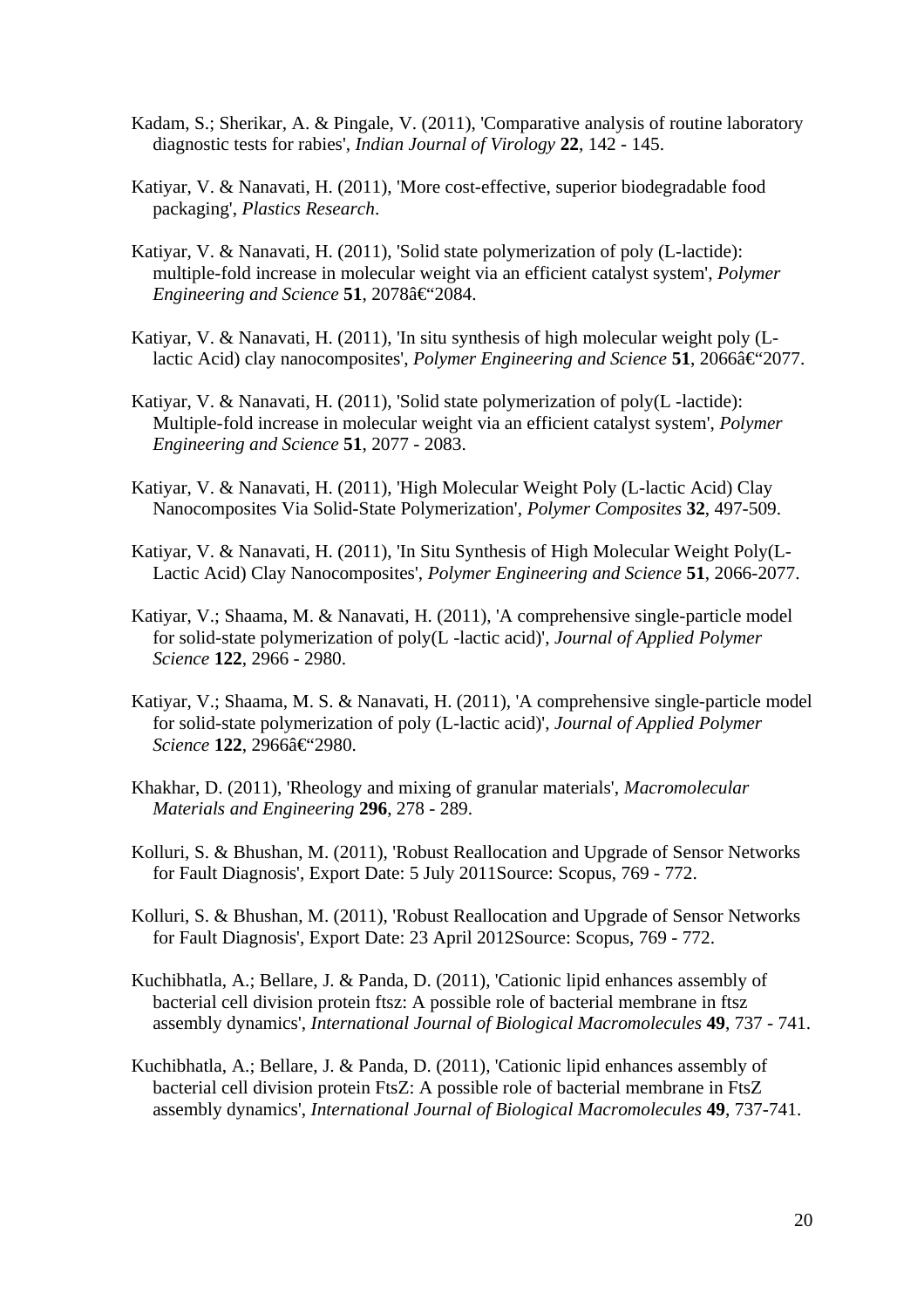- Kadam, S.; Sherikar, A. & Pingale, V. (2011), 'Comparative analysis of routine laboratory diagnostic tests for rabies', *Indian Journal of Virology* **22**, 142 - 145.
- Katiyar, V. & Nanavati, H. (2011), 'More cost-effective, superior biodegradable food packaging', *Plastics Research*.
- Katiyar, V. & Nanavati, H. (2011), 'Solid state polymerization of poly (L-lactide): multiple-fold increase in molecular weight via an efficient catalyst system', *Polymer Engineering and Science* 51, 2078–2084.
- Katiyar, V. & Nanavati, H. (2011), 'In situ synthesis of high molecular weight poly (Llactic Acid) clay nanocomposites', *Polymer Engineering and Science* 51, 2066–2077.
- Katiyar, V. & Nanavati, H. (2011), 'Solid state polymerization of poly(L -lactide): Multiple-fold increase in molecular weight via an efficient catalyst system', *Polymer Engineering and Science* **51**, 2077 - 2083.
- Katiyar, V. & Nanavati, H. (2011), 'High Molecular Weight Poly (L-lactic Acid) Clay Nanocomposites Via Solid-State Polymerization', *Polymer Composites* **32**, 497-509.
- Katiyar, V. & Nanavati, H. (2011), 'In Situ Synthesis of High Molecular Weight Poly(L-Lactic Acid) Clay Nanocomposites', *Polymer Engineering and Science* **51**, 2066-2077.
- Katiyar, V.; Shaama, M. & Nanavati, H. (2011), 'A comprehensive single-particle model for solid-state polymerization of poly(L -lactic acid)', *Journal of Applied Polymer Science* **122**, 2966 - 2980.
- Katiyar, V.; Shaama, M. S. & Nanavati, H. (2011), 'A comprehensive single-particle model for solid-state polymerization of poly (L-lactic acid)', *Journal of Applied Polymer*  $Science$  **122**, 2966–2980.
- Khakhar, D. (2011), 'Rheology and mixing of granular materials', *Macromolecular Materials and Engineering* **296**, 278 - 289.
- Kolluri, S. & Bhushan, M. (2011), 'Robust Reallocation and Upgrade of Sensor Networks for Fault Diagnosis', Export Date: 5 July 2011Source: Scopus, 769 - 772.
- Kolluri, S. & Bhushan, M. (2011), 'Robust Reallocation and Upgrade of Sensor Networks for Fault Diagnosis', Export Date: 23 April 2012Source: Scopus, 769 - 772.
- Kuchibhatla, A.; Bellare, J. & Panda, D. (2011), 'Cationic lipid enhances assembly of bacterial cell division protein ftsz: A possible role of bacterial membrane in ftsz assembly dynamics', *International Journal of Biological Macromolecules* **49**, 737 - 741.
- Kuchibhatla, A.; Bellare, J. & Panda, D. (2011), 'Cationic lipid enhances assembly of bacterial cell division protein FtsZ: A possible role of bacterial membrane in FtsZ assembly dynamics', *International Journal of Biological Macromolecules* **49**, 737-741.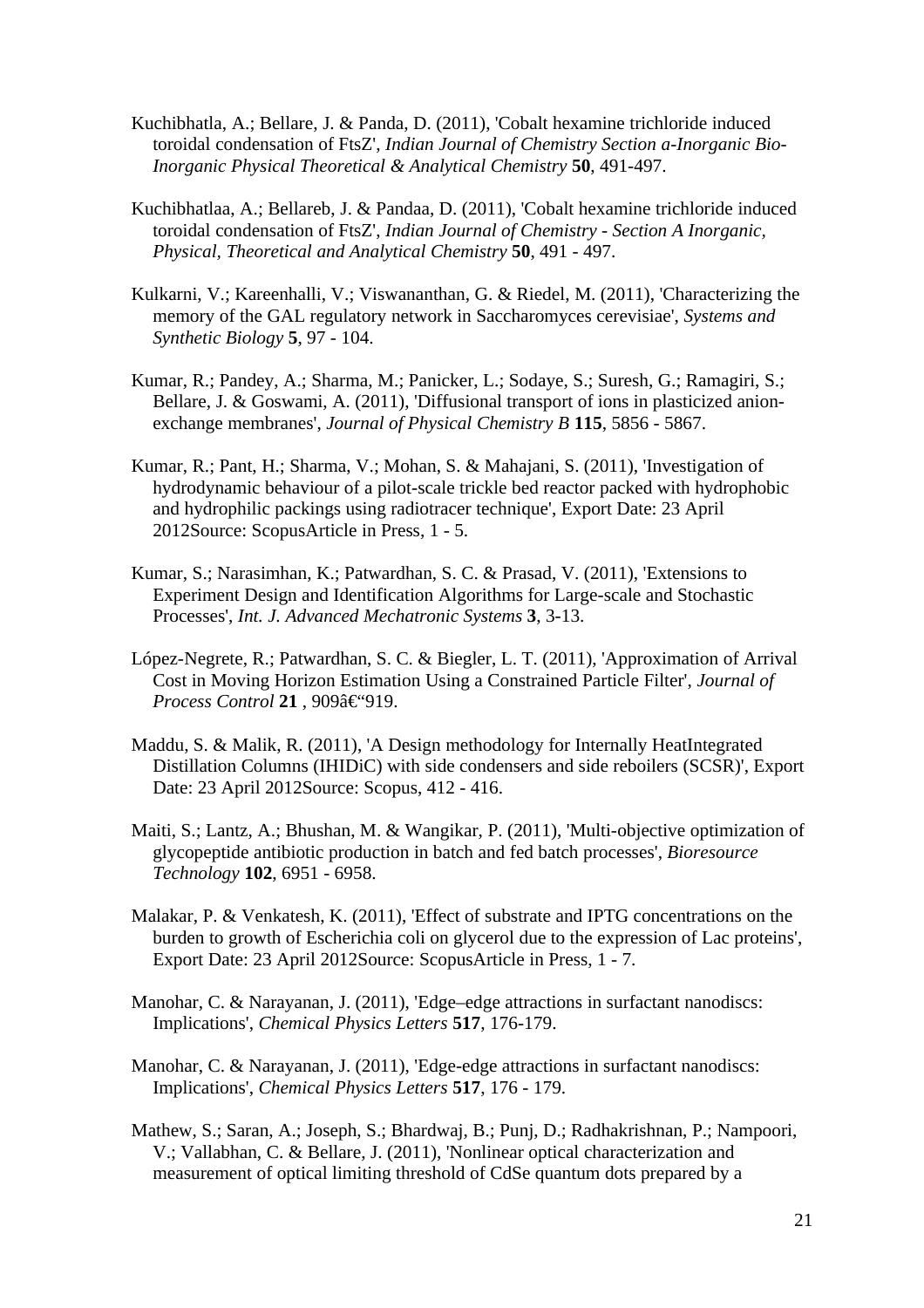- Kuchibhatla, A.; Bellare, J. & Panda, D. (2011), 'Cobalt hexamine trichloride induced toroidal condensation of FtsZ', *Indian Journal of Chemistry Section a-Inorganic Bio-Inorganic Physical Theoretical & Analytical Chemistry* **50**, 491-497.
- Kuchibhatlaa, A.; Bellareb, J. & Pandaa, D. (2011), 'Cobalt hexamine trichloride induced toroidal condensation of FtsZ', *Indian Journal of Chemistry - Section A Inorganic, Physical, Theoretical and Analytical Chemistry* **50**, 491 - 497.
- Kulkarni, V.; Kareenhalli, V.; Viswananthan, G. & Riedel, M. (2011), 'Characterizing the memory of the GAL regulatory network in Saccharomyces cerevisiae', *Systems and Synthetic Biology* **5**, 97 - 104.
- Kumar, R.; Pandey, A.; Sharma, M.; Panicker, L.; Sodaye, S.; Suresh, G.; Ramagiri, S.; Bellare, J. & Goswami, A. (2011), 'Diffusional transport of ions in plasticized anionexchange membranes', *Journal of Physical Chemistry B* **115**, 5856 - 5867.
- Kumar, R.; Pant, H.; Sharma, V.; Mohan, S. & Mahajani, S. (2011), 'Investigation of hydrodynamic behaviour of a pilot-scale trickle bed reactor packed with hydrophobic and hydrophilic packings using radiotracer technique', Export Date: 23 April 2012Source: ScopusArticle in Press, 1 - 5.
- Kumar, S.; Narasimhan, K.; Patwardhan, S. C. & Prasad, V. (2011), 'Extensions to Experiment Design and Identification Algorithms for Large-scale and Stochastic Processes', *Int. J. Advanced Mechatronic Systems* **3**, 3-13.
- López-Negrete, R.; Patwardhan, S. C. & Biegler, L. T. (2011), 'Approximation of Arrival Cost in Moving Horizon Estimation Using a Constrained Particle Filter', *Journal of Process Control* 21, 909–919.
- Maddu, S. & Malik, R. (2011), 'A Design methodology for Internally HeatIntegrated Distillation Columns (IHIDiC) with side condensers and side reboilers (SCSR)', Export Date: 23 April 2012Source: Scopus, 412 - 416.
- Maiti, S.; Lantz, A.; Bhushan, M. & Wangikar, P. (2011), 'Multi-objective optimization of glycopeptide antibiotic production in batch and fed batch processes', *Bioresource Technology* **102**, 6951 - 6958.
- Malakar, P. & Venkatesh, K. (2011), 'Effect of substrate and IPTG concentrations on the burden to growth of Escherichia coli on glycerol due to the expression of Lac proteins', Export Date: 23 April 2012Source: ScopusArticle in Press, 1 - 7.
- Manohar, C. & Narayanan, J. (2011), 'Edge–edge attractions in surfactant nanodiscs: Implications', *Chemical Physics Letters* **517**, 176-179.
- Manohar, C. & Narayanan, J. (2011), 'Edge-edge attractions in surfactant nanodiscs: Implications', *Chemical Physics Letters* **517**, 176 - 179.
- Mathew, S.; Saran, A.; Joseph, S.; Bhardwaj, B.; Punj, D.; Radhakrishnan, P.; Nampoori, V.; Vallabhan, C. & Bellare, J. (2011), 'Nonlinear optical characterization and measurement of optical limiting threshold of CdSe quantum dots prepared by a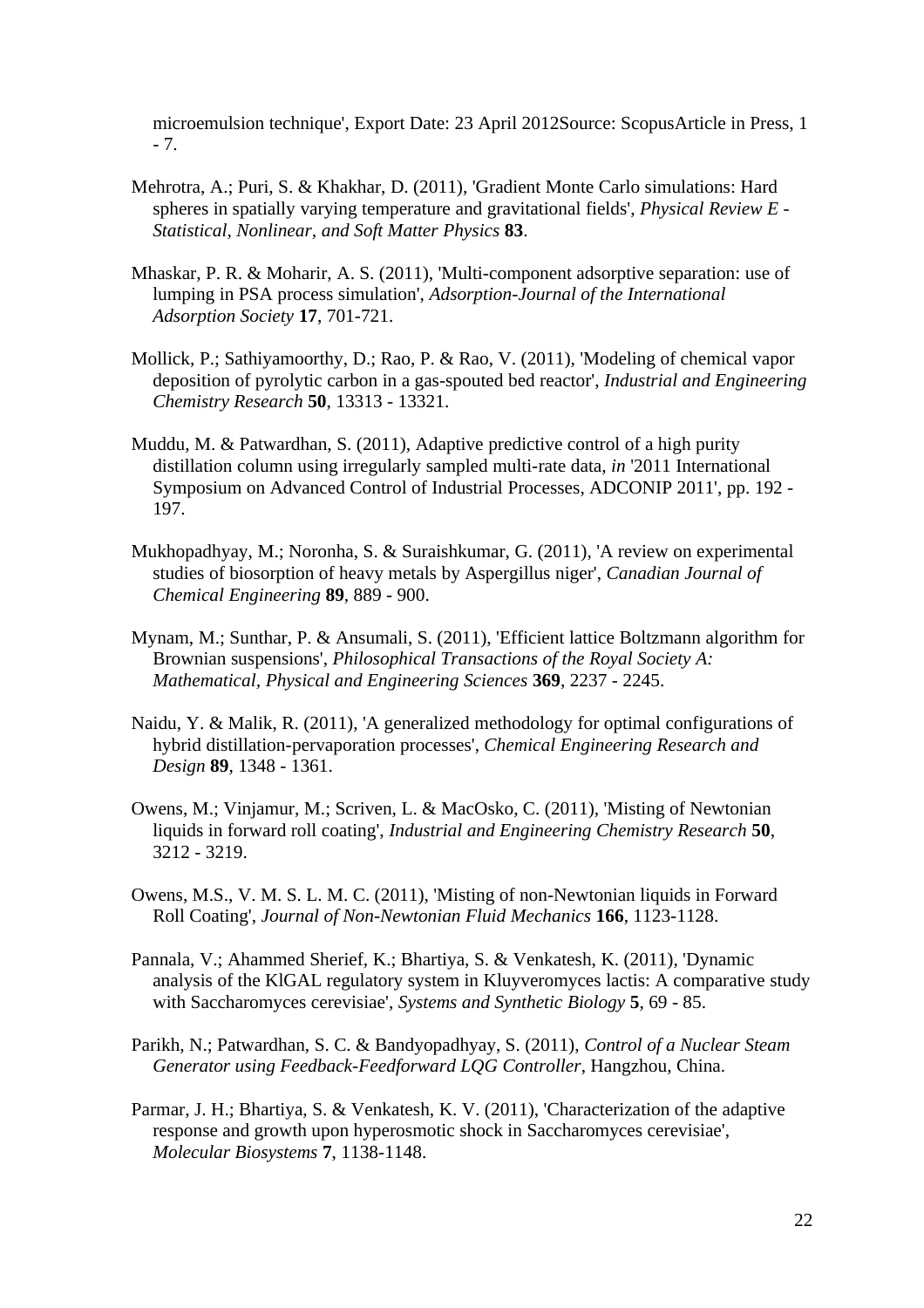microemulsion technique', Export Date: 23 April 2012Source: ScopusArticle in Press, 1 - 7.

- Mehrotra, A.; Puri, S. & Khakhar, D. (2011), 'Gradient Monte Carlo simulations: Hard spheres in spatially varying temperature and gravitational fields', *Physical Review E - Statistical, Nonlinear, and Soft Matter Physics* **83**.
- Mhaskar, P. R. & Moharir, A. S. (2011), 'Multi-component adsorptive separation: use of lumping in PSA process simulation', *Adsorption-Journal of the International Adsorption Society* **17**, 701-721.
- Mollick, P.; Sathiyamoorthy, D.; Rao, P. & Rao, V. (2011), 'Modeling of chemical vapor deposition of pyrolytic carbon in a gas-spouted bed reactor', *Industrial and Engineering Chemistry Research* **50**, 13313 - 13321.
- Muddu, M. & Patwardhan, S. (2011), Adaptive predictive control of a high purity distillation column using irregularly sampled multi-rate data, *in* '2011 International Symposium on Advanced Control of Industrial Processes, ADCONIP 2011', pp. 192 - 197.
- Mukhopadhyay, M.; Noronha, S. & Suraishkumar, G. (2011), 'A review on experimental studies of biosorption of heavy metals by Aspergillus niger', *Canadian Journal of Chemical Engineering* **89**, 889 - 900.
- Mynam, M.; Sunthar, P. & Ansumali, S. (2011), 'Efficient lattice Boltzmann algorithm for Brownian suspensions', *Philosophical Transactions of the Royal Society A: Mathematical, Physical and Engineering Sciences* **369**, 2237 - 2245.
- Naidu, Y. & Malik, R. (2011), 'A generalized methodology for optimal configurations of hybrid distillation-pervaporation processes', *Chemical Engineering Research and Design* **89**, 1348 - 1361.
- Owens, M.; Vinjamur, M.; Scriven, L. & MacOsko, C. (2011), 'Misting of Newtonian liquids in forward roll coating', *Industrial and Engineering Chemistry Research* **50**, 3212 - 3219.
- Owens, M.S., V. M. S. L. M. C. (2011), 'Misting of non-Newtonian liquids in Forward Roll Coating', *Journal of Non-Newtonian Fluid Mechanics* **166**, 1123-1128.
- Pannala, V.; Ahammed Sherief, K.; Bhartiya, S. & Venkatesh, K. (2011), 'Dynamic analysis of the KlGAL regulatory system in Kluyveromyces lactis: A comparative study with Saccharomyces cerevisiae', *Systems and Synthetic Biology* **5**, 69 - 85.
- Parikh, N.; Patwardhan, S. C. & Bandyopadhyay, S. (2011), *Control of a Nuclear Steam Generator using Feedback-Feedforward LQG Controller*, Hangzhou, China.
- Parmar, J. H.; Bhartiya, S. & Venkatesh, K. V. (2011), 'Characterization of the adaptive response and growth upon hyperosmotic shock in Saccharomyces cerevisiae', *Molecular Biosystems* **7**, 1138-1148.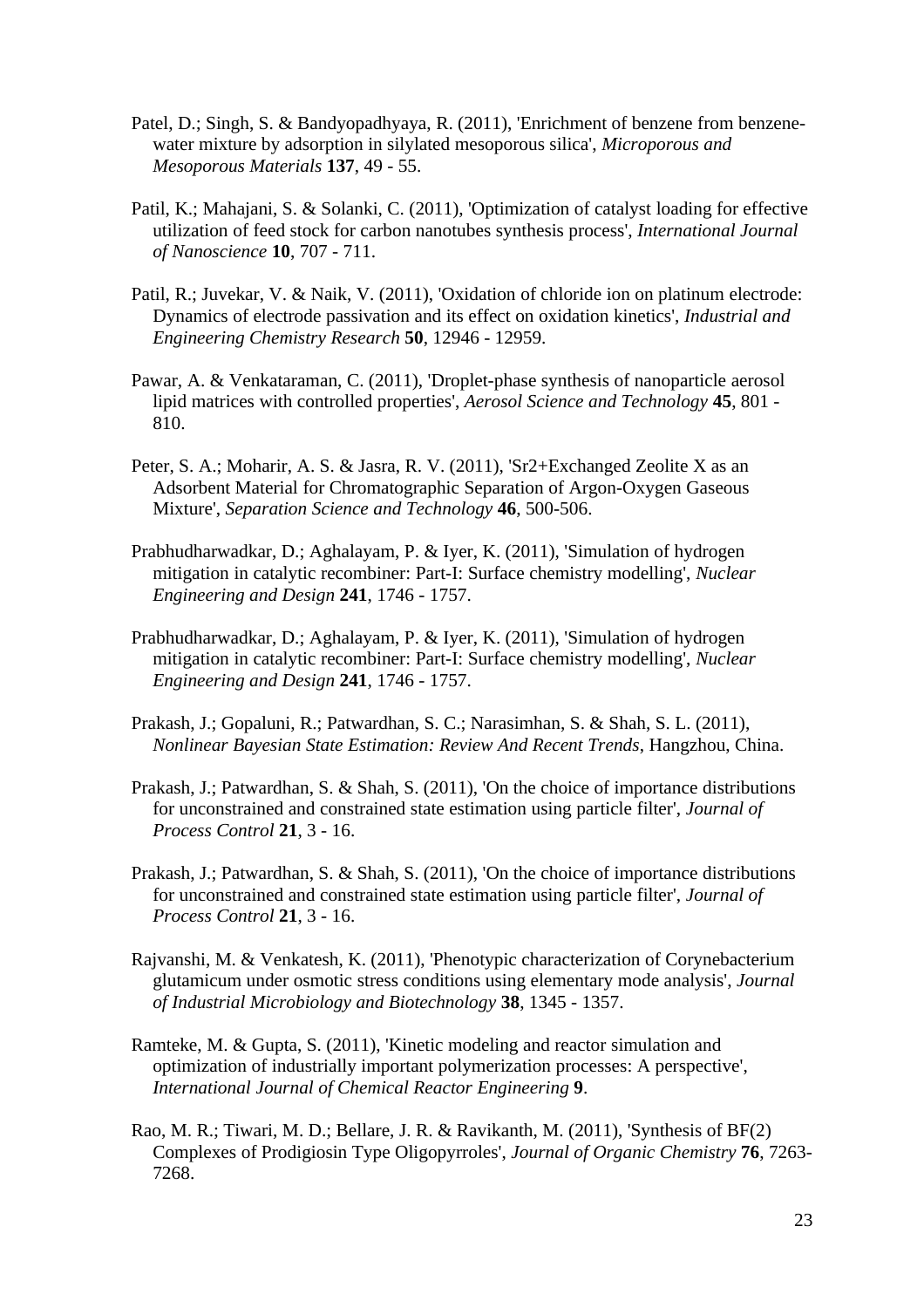- Patel, D.; Singh, S. & Bandyopadhyaya, R. (2011), 'Enrichment of benzene from benzenewater mixture by adsorption in silylated mesoporous silica', *Microporous and Mesoporous Materials* **137**, 49 - 55.
- Patil, K.; Mahajani, S. & Solanki, C. (2011), 'Optimization of catalyst loading for effective utilization of feed stock for carbon nanotubes synthesis process', *International Journal of Nanoscience* **10**, 707 - 711.
- Patil, R.; Juvekar, V. & Naik, V. (2011), 'Oxidation of chloride ion on platinum electrode: Dynamics of electrode passivation and its effect on oxidation kinetics', *Industrial and Engineering Chemistry Research* **50**, 12946 - 12959.
- Pawar, A. & Venkataraman, C. (2011), 'Droplet-phase synthesis of nanoparticle aerosol lipid matrices with controlled properties', *Aerosol Science and Technology* **45**, 801 - 810.
- Peter, S. A.; Moharir, A. S. & Jasra, R. V. (2011), 'Sr2+Exchanged Zeolite X as an Adsorbent Material for Chromatographic Separation of Argon-Oxygen Gaseous Mixture', *Separation Science and Technology* **46**, 500-506.
- Prabhudharwadkar, D.; Aghalayam, P. & Iyer, K. (2011), 'Simulation of hydrogen mitigation in catalytic recombiner: Part-I: Surface chemistry modelling', *Nuclear Engineering and Design* **241**, 1746 - 1757.
- Prabhudharwadkar, D.; Aghalayam, P. & Iyer, K. (2011), 'Simulation of hydrogen mitigation in catalytic recombiner: Part-I: Surface chemistry modelling', *Nuclear Engineering and Design* **241**, 1746 - 1757.
- Prakash, J.; Gopaluni, R.; Patwardhan, S. C.; Narasimhan, S. & Shah, S. L. (2011), *Nonlinear Bayesian State Estimation: Review And Recent Trends*, Hangzhou, China.
- Prakash, J.; Patwardhan, S. & Shah, S. (2011), 'On the choice of importance distributions for unconstrained and constrained state estimation using particle filter', *Journal of Process Control* **21**, 3 - 16.
- Prakash, J.; Patwardhan, S. & Shah, S. (2011), 'On the choice of importance distributions for unconstrained and constrained state estimation using particle filter', *Journal of Process Control* **21**, 3 - 16.
- Rajvanshi, M. & Venkatesh, K. (2011), 'Phenotypic characterization of Corynebacterium glutamicum under osmotic stress conditions using elementary mode analysis', *Journal of Industrial Microbiology and Biotechnology* **38**, 1345 - 1357.
- Ramteke, M. & Gupta, S. (2011), 'Kinetic modeling and reactor simulation and optimization of industrially important polymerization processes: A perspective', *International Journal of Chemical Reactor Engineering* **9**.
- Rao, M. R.; Tiwari, M. D.; Bellare, J. R. & Ravikanth, M. (2011), 'Synthesis of BF(2) Complexes of Prodigiosin Type Oligopyrroles', *Journal of Organic Chemistry* **76**, 7263- 7268.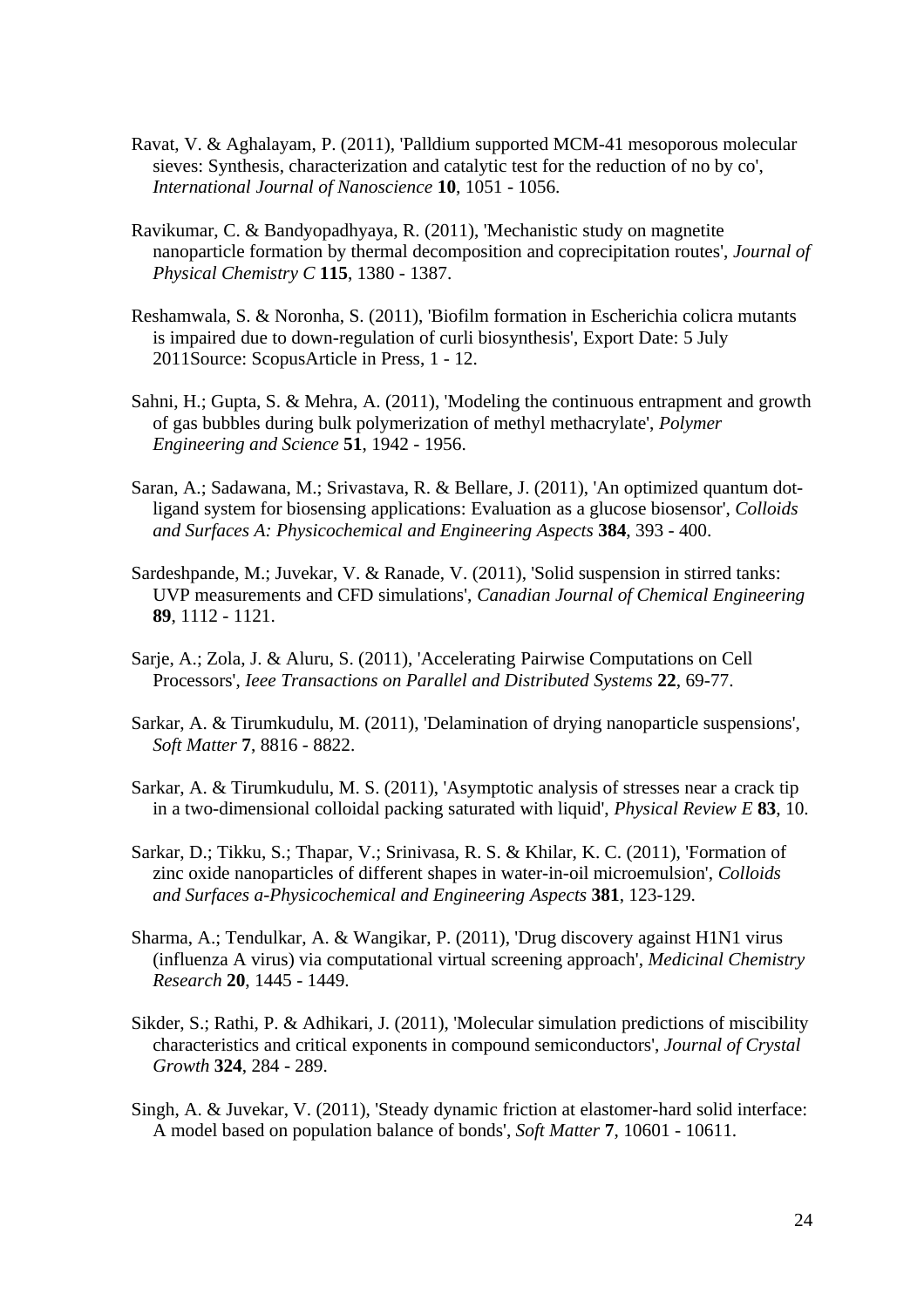- Ravat, V. & Aghalayam, P. (2011), 'Palldium supported MCM-41 mesoporous molecular sieves: Synthesis, characterization and catalytic test for the reduction of no by co', *International Journal of Nanoscience* **10**, 1051 - 1056.
- Ravikumar, C. & Bandyopadhyaya, R. (2011), 'Mechanistic study on magnetite nanoparticle formation by thermal decomposition and coprecipitation routes', *Journal of Physical Chemistry C* **115**, 1380 - 1387.
- Reshamwala, S. & Noronha, S. (2011), 'Biofilm formation in Escherichia colicra mutants is impaired due to down-regulation of curli biosynthesis', Export Date: 5 July 2011Source: ScopusArticle in Press, 1 - 12.
- Sahni, H.; Gupta, S. & Mehra, A. (2011), 'Modeling the continuous entrapment and growth of gas bubbles during bulk polymerization of methyl methacrylate', *Polymer Engineering and Science* **51**, 1942 - 1956.
- Saran, A.; Sadawana, M.; Srivastava, R. & Bellare, J. (2011), 'An optimized quantum dotligand system for biosensing applications: Evaluation as a glucose biosensor', *Colloids and Surfaces A: Physicochemical and Engineering Aspects* **384**, 393 - 400.
- Sardeshpande, M.; Juvekar, V. & Ranade, V. (2011), 'Solid suspension in stirred tanks: UVP measurements and CFD simulations', *Canadian Journal of Chemical Engineering* **89**, 1112 - 1121.
- Sarje, A.; Zola, J. & Aluru, S. (2011), 'Accelerating Pairwise Computations on Cell Processors', *Ieee Transactions on Parallel and Distributed Systems* **22**, 69-77.
- Sarkar, A. & Tirumkudulu, M. (2011), 'Delamination of drying nanoparticle suspensions', *Soft Matter* **7**, 8816 - 8822.
- Sarkar, A. & Tirumkudulu, M. S. (2011), 'Asymptotic analysis of stresses near a crack tip in a two-dimensional colloidal packing saturated with liquid', *Physical Review E* **83**, 10.
- Sarkar, D.; Tikku, S.; Thapar, V.; Srinivasa, R. S. & Khilar, K. C. (2011), 'Formation of zinc oxide nanoparticles of different shapes in water-in-oil microemulsion', *Colloids and Surfaces a-Physicochemical and Engineering Aspects* **381**, 123-129.
- Sharma, A.; Tendulkar, A. & Wangikar, P. (2011), 'Drug discovery against H1N1 virus (influenza A virus) via computational virtual screening approach', *Medicinal Chemistry Research* **20**, 1445 - 1449.
- Sikder, S.; Rathi, P. & Adhikari, J. (2011), 'Molecular simulation predictions of miscibility characteristics and critical exponents in compound semiconductors', *Journal of Crystal Growth* **324**, 284 - 289.
- Singh, A. & Juvekar, V. (2011), 'Steady dynamic friction at elastomer-hard solid interface: A model based on population balance of bonds', *Soft Matter* **7**, 10601 - 10611.